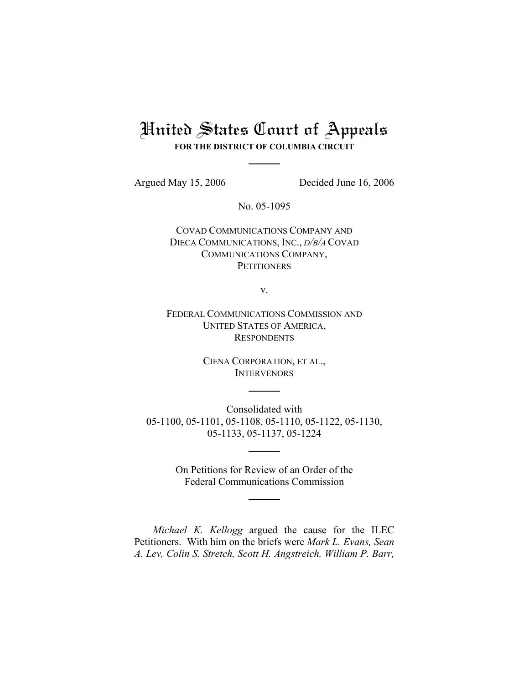# United States Court of Appeals

**FOR THE DISTRICT OF COLUMBIA CIRCUIT**

Argued May 15, 2006 Decided June 16, 2006

No. 05-1095

COVAD COMMUNICATIONS COMPANY AND DIECA COMMUNICATIONS, INC., *D/B/A* COVAD COMMUNICATIONS COMPANY, **PETITIONERS** 

v.

FEDERAL COMMUNICATIONS COMMISSION AND UNITED STATES OF AMERICA, **RESPONDENTS** 

> CIENA CORPORATION, ET AL., **INTERVENORS**

Consolidated with 05-1100, 05-1101, 05-1108, 05-1110, 05-1122, 05-1130, 05-1133, 05-1137, 05-1224

> On Petitions for Review of an Order of the Federal Communications Commission

*Michael K. Kellogg* argued the cause for the ILEC Petitioners. With him on the briefs were *Mark L. Evans, Sean A. Lev, Colin S. Stretch, Scott H. Angstreich, William P. Barr,*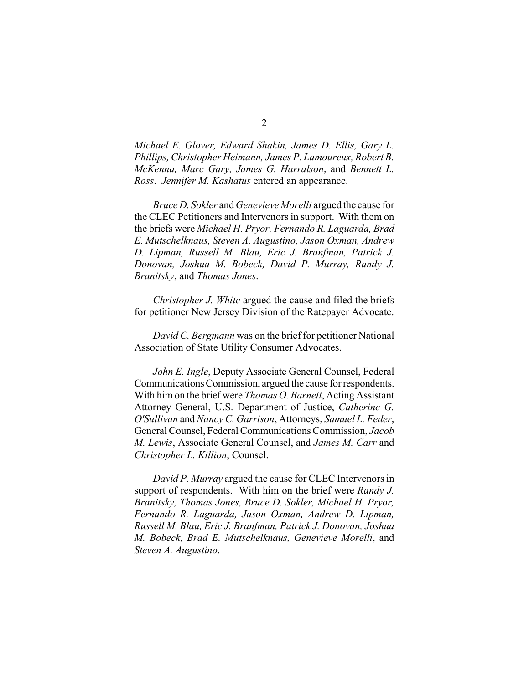*Michael E. Glover, Edward Shakin, James D. Ellis, Gary L. Phillips, Christopher Heimann, James P. Lamoureux, Robert B. McKenna, Marc Gary, James G. Harralson*, and *Bennett L. Ross*. *Jennifer M. Kashatus* entered an appearance.

*Bruce D. Sokler* and *Genevieve Morelli* argued the cause for the CLEC Petitioners and Intervenors in support. With them on the briefs were *Michael H. Pryor, Fernando R. Laguarda, Brad E. Mutschelknaus, Steven A. Augustino, Jason Oxman, Andrew D. Lipman, Russell M. Blau, Eric J. Branfman, Patrick J. Donovan, Joshua M. Bobeck, David P. Murray, Randy J. Branitsky*, and *Thomas Jones*.

*Christopher J. White* argued the cause and filed the briefs for petitioner New Jersey Division of the Ratepayer Advocate.

*David C. Bergmann* was on the brief for petitioner National Association of State Utility Consumer Advocates.

*John E. Ingle*, Deputy Associate General Counsel, Federal Communications Commission, argued the cause for respondents. With him on the brief were *Thomas O. Barnett*, Acting Assistant Attorney General, U.S. Department of Justice, *Catherine G. O'Sullivan* and *Nancy C. Garrison*, Attorneys, *Samuel L. Feder*, General Counsel, Federal Communications Commission, *Jacob M. Lewis*, Associate General Counsel, and *James M. Carr* and *Christopher L. Killion*, Counsel.

*David P. Murray* argued the cause for CLEC Intervenors in support of respondents. With him on the brief were *Randy J. Branitsky, Thomas Jones, Bruce D. Sokler, Michael H. Pryor, Fernando R. Laguarda, Jason Oxman, Andrew D. Lipman, Russell M. Blau, Eric J. Branfman, Patrick J. Donovan, Joshua M. Bobeck, Brad E. Mutschelknaus, Genevieve Morelli*, and *Steven A. Augustino*.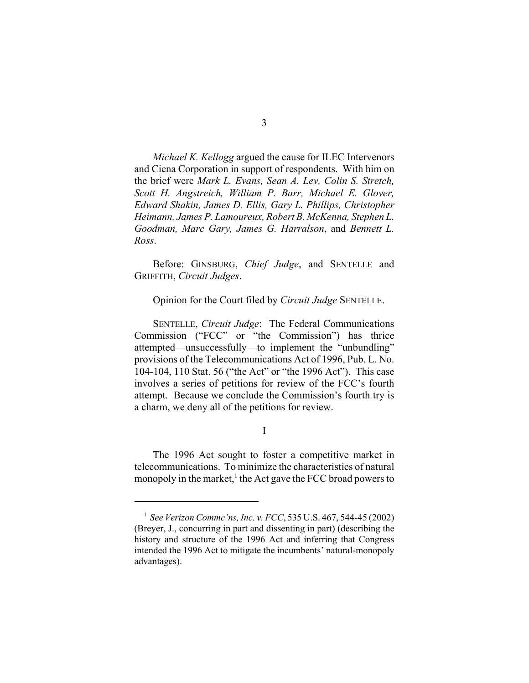*Michael K. Kellogg* argued the cause for ILEC Intervenors and Ciena Corporation in support of respondents. With him on the brief were *Mark L. Evans, Sean A. Lev, Colin S. Stretch, Scott H. Angstreich, William P. Barr, Michael E. Glover, Edward Shakin, James D. Ellis, Gary L. Phillips, Christopher Heimann, James P. Lamoureux, Robert B. McKenna, Stephen L. Goodman, Marc Gary, James G. Harralson*, and *Bennett L. Ross*.

Before: GINSBURG, *Chief Judge*, and SENTELLE and GRIFFITH, *Circuit Judges*.

Opinion for the Court filed by *Circuit Judge* SENTELLE.

SENTELLE, *Circuit Judge*: The Federal Communications Commission ("FCC" or "the Commission") has thrice attempted—unsuccessfully—to implement the "unbundling" provisions of the Telecommunications Act of 1996, Pub. L. No. 104-104, 110 Stat. 56 ("the Act" or "the 1996 Act"). This case involves a series of petitions for review of the FCC's fourth attempt. Because we conclude the Commission's fourth try is a charm, we deny all of the petitions for review.

I

The 1996 Act sought to foster a competitive market in telecommunications. To minimize the characteristics of natural monopoly in the market,<sup>1</sup> the Act gave the FCC broad powers to

<sup>1</sup> *See Verizon Commc'ns, Inc. v. FCC*, 535 U.S. 467, 544-45 (2002) (Breyer, J., concurring in part and dissenting in part) (describing the history and structure of the 1996 Act and inferring that Congress intended the 1996 Act to mitigate the incumbents' natural-monopoly advantages).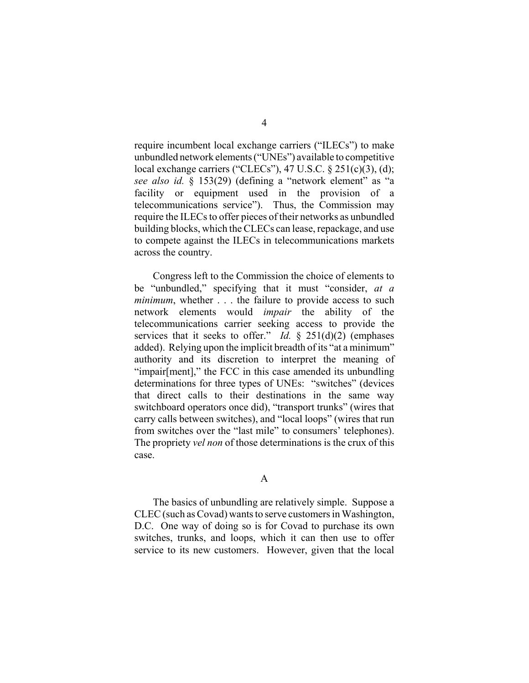require incumbent local exchange carriers ("ILECs") to make unbundled network elements ("UNEs") available to competitive local exchange carriers ("CLECs"), 47 U.S.C.  $\S 251(c)(3)$ , (d); *see also id.* § 153(29) (defining a "network element" as "a facility or equipment used in the provision of a telecommunications service"). Thus, the Commission may require the ILECs to offer pieces of their networks as unbundled building blocks, which the CLECs can lease, repackage, and use to compete against the ILECs in telecommunications markets across the country.

Congress left to the Commission the choice of elements to be "unbundled," specifying that it must "consider, *at a minimum*, whether . . . the failure to provide access to such network elements would *impair* the ability of the telecommunications carrier seeking access to provide the services that it seeks to offer." *Id.* § 251(d)(2) (emphases added). Relying upon the implicit breadth of its "at a minimum" authority and its discretion to interpret the meaning of "impair[ment]," the FCC in this case amended its unbundling determinations for three types of UNEs: "switches" (devices that direct calls to their destinations in the same way switchboard operators once did), "transport trunks" (wires that carry calls between switches), and "local loops" (wires that run from switches over the "last mile" to consumers' telephones). The propriety *vel non* of those determinations is the crux of this case.

A

The basics of unbundling are relatively simple. Suppose a CLEC (such as Covad) wants to serve customers in Washington, D.C. One way of doing so is for Covad to purchase its own switches, trunks, and loops, which it can then use to offer service to its new customers. However, given that the local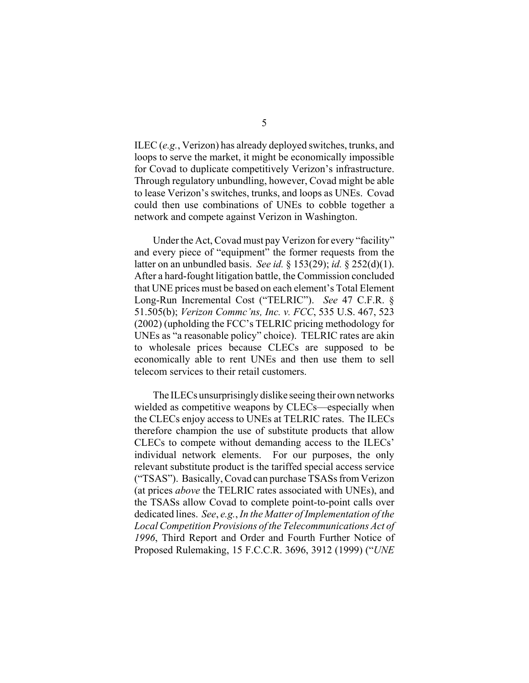ILEC (*e.g.*, Verizon) has already deployed switches, trunks, and loops to serve the market, it might be economically impossible for Covad to duplicate competitively Verizon's infrastructure. Through regulatory unbundling, however, Covad might be able to lease Verizon's switches, trunks, and loops as UNEs. Covad could then use combinations of UNEs to cobble together a network and compete against Verizon in Washington.

Under the Act, Covad must pay Verizon for every "facility" and every piece of "equipment" the former requests from the latter on an unbundled basis. *See id.* § 153(29); *id.* § 252(d)(1). After a hard-fought litigation battle, the Commission concluded that UNE prices must be based on each element's Total Element Long-Run Incremental Cost ("TELRIC"). *See* 47 C.F.R. § 51.505(b); *Verizon Commc'ns, Inc. v. FCC*, 535 U.S. 467, 523 (2002) (upholding the FCC's TELRIC pricing methodology for UNEs as "a reasonable policy" choice). TELRIC rates are akin to wholesale prices because CLECs are supposed to be economically able to rent UNEs and then use them to sell telecom services to their retail customers.

The ILECs unsurprisingly dislike seeing their own networks wielded as competitive weapons by CLECs—especially when the CLECs enjoy access to UNEs at TELRIC rates. The ILECs therefore champion the use of substitute products that allow CLECs to compete without demanding access to the ILECs' individual network elements. For our purposes, the only relevant substitute product is the tariffed special access service ("TSAS"). Basically, Covad can purchase TSASs from Verizon (at prices *above* the TELRIC rates associated with UNEs), and the TSASs allow Covad to complete point-to-point calls over dedicated lines. *See*, *e.g.*, *In the Matter of Implementation of the Local Competition Provisions of the Telecommunications Act of 1996*, Third Report and Order and Fourth Further Notice of Proposed Rulemaking, 15 F.C.C.R. 3696, 3912 (1999) ("*UNE*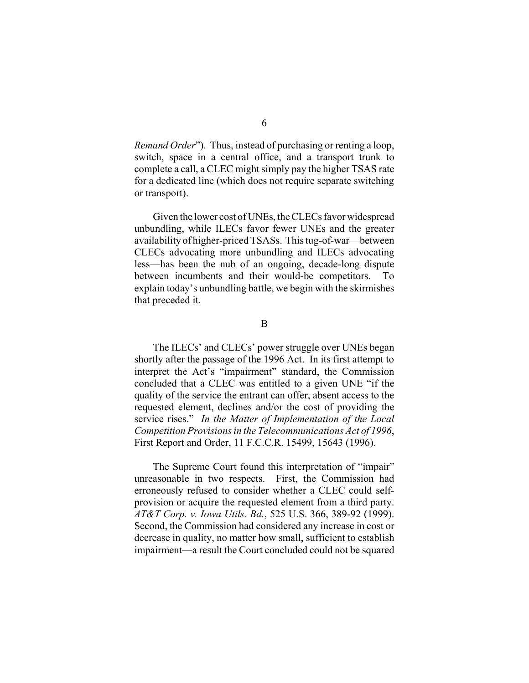*Remand Order*"). Thus, instead of purchasing or renting a loop, switch, space in a central office, and a transport trunk to complete a call, a CLEC might simply pay the higher TSAS rate for a dedicated line (which does not require separate switching or transport).

Given the lower cost of UNEs, the CLECs favor widespread unbundling, while ILECs favor fewer UNEs and the greater availability of higher-priced TSASs. This tug-of-war—between CLECs advocating more unbundling and ILECs advocating less—has been the nub of an ongoing, decade-long dispute between incumbents and their would-be competitors. To explain today's unbundling battle, we begin with the skirmishes that preceded it.

B

The ILECs' and CLECs' power struggle over UNEs began shortly after the passage of the 1996 Act. In its first attempt to interpret the Act's "impairment" standard, the Commission concluded that a CLEC was entitled to a given UNE "if the quality of the service the entrant can offer, absent access to the requested element, declines and/or the cost of providing the service rises." *In the Matter of Implementation of the Local Competition Provisions in the Telecommunications Act of 1996*, First Report and Order, 11 F.C.C.R. 15499, 15643 (1996).

The Supreme Court found this interpretation of "impair" unreasonable in two respects. First, the Commission had erroneously refused to consider whether a CLEC could selfprovision or acquire the requested element from a third party. *AT&T Corp. v. Iowa Utils. Bd.*, 525 U.S. 366, 389-92 (1999). Second, the Commission had considered any increase in cost or decrease in quality, no matter how small, sufficient to establish impairment—a result the Court concluded could not be squared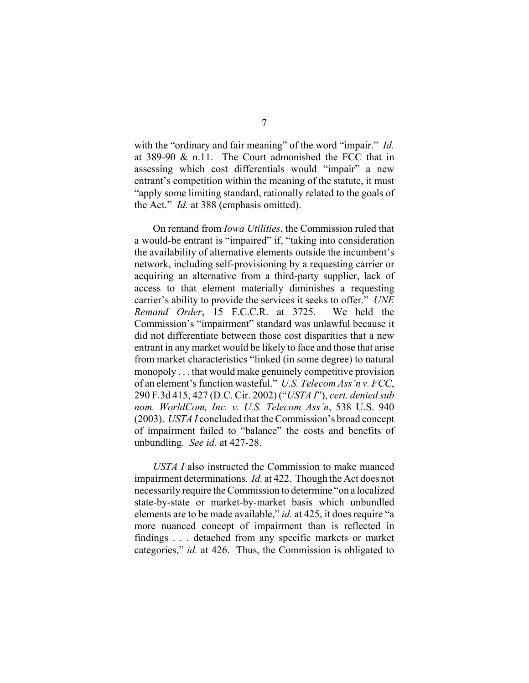with the "ordinary and fair meaning" of the word "impair." *Id.* at 389-90 & n.11. The Court admonished the FCC that in assessing which cost differentials would "impair" a new entrant's competition within the meaning of the statute, it must "apply some limiting standard, rationally related to the goals of the Act." *Id.* at 388 (emphasis omitted).

On remand from *Iowa Utilities*, the Commission ruled that a would-be entrant is "impaired" if, "taking into consideration the availability of alternative elements outside the incumbent's network, including self-provisioning by a requesting carrier or acquiring an alternative from a third-party supplier, lack of access to that element materially diminishes a requesting carrier's ability to provide the services it seeks to offer." *UNE Remand Order*, 15 F.C.C.R. at 3725. We held the Commission's "impairment" standard was unlawful because it did not differentiate between those cost disparities that a new entrant in any market would be likely to face and those that arise from market characteristics "linked (in some degree) to natural monopoly . . . that would make genuinely competitive provision of an element's function wasteful." *U.S. Telecom Ass'n v. FCC*, 290 F.3d 415, 427 (D.C. Cir. 2002) ("*USTA I*"), *cert. denied sub nom. WorldCom, Inc. v. U.S. Telecom Ass'n*, 538 U.S. 940 (2003). *USTA I* concluded that the Commission's broad concept of impairment failed to "balance" the costs and benefits of unbundling. *See id.* at 427-28.

*USTA I* also instructed the Commission to make nuanced impairment determinations. *Id.* at 422. Though the Act does not necessarily require the Commission to determine "on a localized state-by-state or market-by-market basis which unbundled elements are to be made available," *id.* at 425, it does require "a more nuanced concept of impairment than is reflected in findings . . . detached from any specific markets or market categories," *id.* at 426. Thus, the Commission is obligated to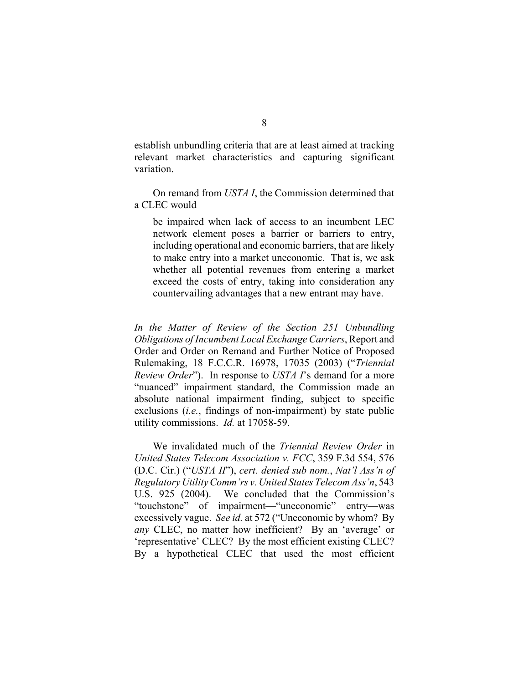establish unbundling criteria that are at least aimed at tracking relevant market characteristics and capturing significant variation.

On remand from *USTA I*, the Commission determined that a CLEC would

be impaired when lack of access to an incumbent LEC network element poses a barrier or barriers to entry, including operational and economic barriers, that are likely to make entry into a market uneconomic. That is, we ask whether all potential revenues from entering a market exceed the costs of entry, taking into consideration any countervailing advantages that a new entrant may have.

*In the Matter of Review of the Section 251 Unbundling Obligations of Incumbent Local Exchange Carriers*, Report and Order and Order on Remand and Further Notice of Proposed Rulemaking, 18 F.C.C.R. 16978, 17035 (2003) ("*Triennial Review Order*"). In response to *USTA I*'s demand for a more "nuanced" impairment standard, the Commission made an absolute national impairment finding, subject to specific exclusions (*i.e.*, findings of non-impairment) by state public utility commissions. *Id.* at 17058-59.

We invalidated much of the *Triennial Review Order* in *United States Telecom Association v. FCC*, 359 F.3d 554, 576 (D.C. Cir.) ("*USTA II*"), *cert. denied sub nom.*, *Nat'l Ass'n of Regulatory Utility Comm'rs v. United States Telecom Ass'n*, 543 U.S. 925 (2004). We concluded that the Commission's "touchstone" of impairment—"uneconomic" entry—was excessively vague. *See id.* at 572 ("Uneconomic by whom? By *any* CLEC, no matter how inefficient? By an 'average' or 'representative' CLEC? By the most efficient existing CLEC? By a hypothetical CLEC that used the most efficient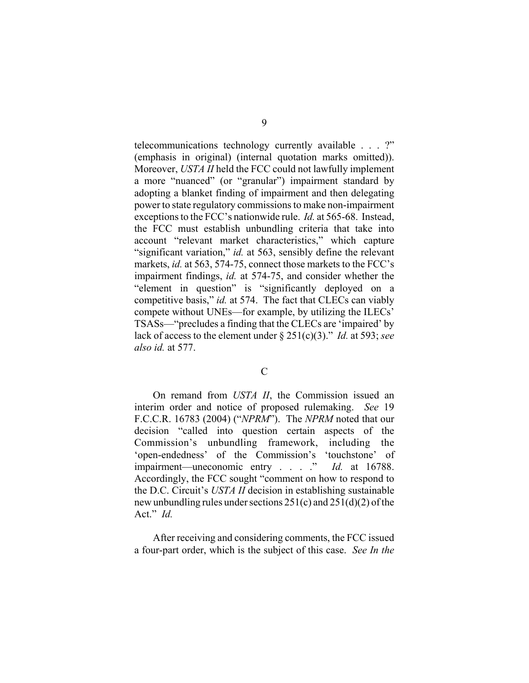telecommunications technology currently available . . . ?" (emphasis in original) (internal quotation marks omitted)). Moreover, *USTA II* held the FCC could not lawfully implement a more "nuanced" (or "granular") impairment standard by adopting a blanket finding of impairment and then delegating power to state regulatory commissions to make non-impairment exceptions to the FCC's nationwide rule. *Id.* at 565-68. Instead, the FCC must establish unbundling criteria that take into account "relevant market characteristics," which capture "significant variation," *id.* at 563, sensibly define the relevant markets, *id.* at 563, 574-75, connect those markets to the FCC's impairment findings, *id.* at 574-75, and consider whether the "element in question" is "significantly deployed on a competitive basis," *id.* at 574. The fact that CLECs can viably compete without UNEs—for example, by utilizing the ILECs' TSASs—"precludes a finding that the CLECs are 'impaired' by lack of access to the element under § 251(c)(3)." *Id.* at 593; *see also id.* at 577.

 $\overline{C}$ 

On remand from *USTA II*, the Commission issued an interim order and notice of proposed rulemaking. *See* 19 F.C.C.R. 16783 (2004) ("*NPRM*"). The *NPRM* noted that our decision "called into question certain aspects of the Commission's unbundling framework, including the 'open-endedness' of the Commission's 'touchstone' of impairment—uneconomic entry . . . ." *Id.* at 16788. Accordingly, the FCC sought "comment on how to respond to the D.C. Circuit's *USTA II* decision in establishing sustainable new unbundling rules under sections 251(c) and 251(d)(2) of the Act." *Id.* 

After receiving and considering comments, the FCC issued a four-part order, which is the subject of this case. *See In the*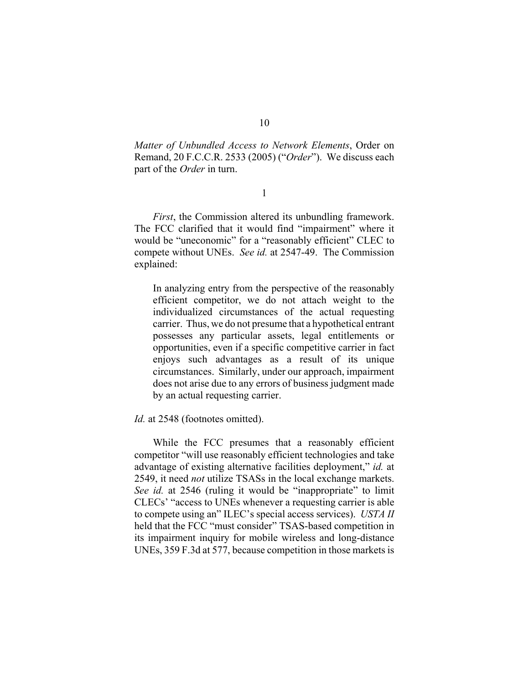*Matter of Unbundled Access to Network Elements*, Order on Remand, 20 F.C.C.R. 2533 (2005) ("*Order*"). We discuss each part of the *Order* in turn.

1

*First*, the Commission altered its unbundling framework. The FCC clarified that it would find "impairment" where it would be "uneconomic" for a "reasonably efficient" CLEC to compete without UNEs. *See id.* at 2547-49.The Commission explained:

In analyzing entry from the perspective of the reasonably efficient competitor, we do not attach weight to the individualized circumstances of the actual requesting carrier. Thus, we do not presume that a hypothetical entrant possesses any particular assets, legal entitlements or opportunities, even if a specific competitive carrier in fact enjoys such advantages as a result of its unique circumstances. Similarly, under our approach, impairment does not arise due to any errors of business judgment made by an actual requesting carrier.

Id. at 2548 (footnotes omitted).

While the FCC presumes that a reasonably efficient competitor "will use reasonably efficient technologies and take advantage of existing alternative facilities deployment," *id.* at 2549, it need *not* utilize TSASs in the local exchange markets. *See id.* at 2546 (ruling it would be "inappropriate" to limit CLECs' "access to UNEs whenever a requesting carrier is able to compete using an" ILEC's special access services). *USTA II* held that the FCC "must consider" TSAS-based competition in its impairment inquiry for mobile wireless and long-distance UNEs, 359 F.3d at 577, because competition in those markets is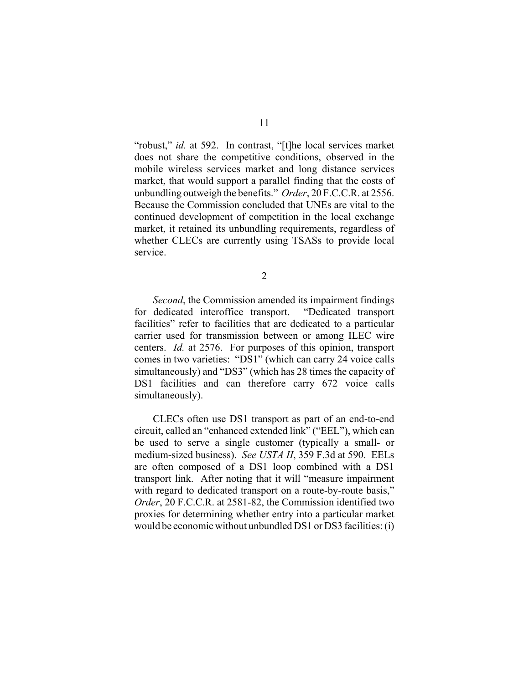"robust," *id.* at 592. In contrast, "[t]he local services market does not share the competitive conditions, observed in the mobile wireless services market and long distance services market, that would support a parallel finding that the costs of unbundling outweigh the benefits." *Order*, 20 F.C.C.R. at 2556. Because the Commission concluded that UNEs are vital to the continued development of competition in the local exchange market, it retained its unbundling requirements, regardless of whether CLECs are currently using TSASs to provide local service.

2

*Second*, the Commission amended its impairment findings for dedicated interoffice transport. "Dedicated transport facilities" refer to facilities that are dedicated to a particular carrier used for transmission between or among ILEC wire centers. *Id.* at 2576. For purposes of this opinion, transport comes in two varieties: "DS1" (which can carry 24 voice calls simultaneously) and "DS3" (which has 28 times the capacity of DS1 facilities and can therefore carry 672 voice calls simultaneously).

CLECs often use DS1 transport as part of an end-to-end circuit, called an "enhanced extended link" ("EEL"), which can be used to serve a single customer (typically a small- or medium-sized business). *See USTA II*, 359 F.3d at 590. EELs are often composed of a DS1 loop combined with a DS1 transport link. After noting that it will "measure impairment with regard to dedicated transport on a route-by-route basis," *Order*, 20 F.C.C.R. at 2581-82, the Commission identified two proxies for determining whether entry into a particular market would be economic without unbundled DS1 or DS3 facilities: (i)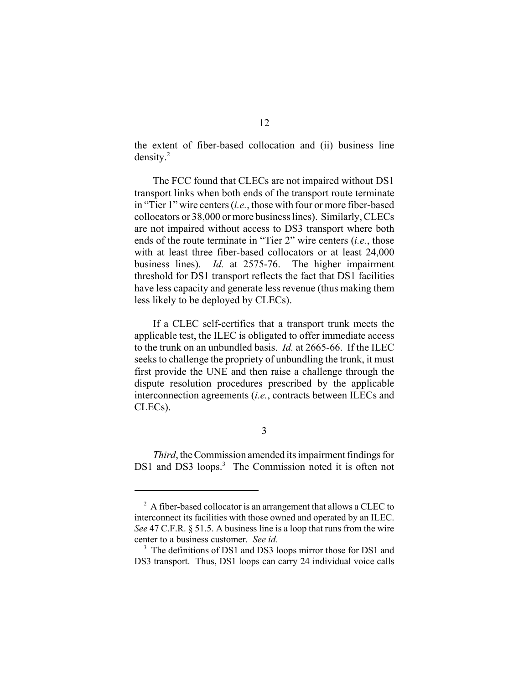the extent of fiber-based collocation and (ii) business line density.2

The FCC found that CLECs are not impaired without DS1 transport links when both ends of the transport route terminate in "Tier 1" wire centers (*i.e.*, those with four or more fiber-based collocators or 38,000 or more business lines). Similarly, CLECs are not impaired without access to DS3 transport where both ends of the route terminate in "Tier 2" wire centers (*i.e.*, those with at least three fiber-based collocators or at least 24,000 business lines). *Id.* at 2575-76. The higher impairment threshold for DS1 transport reflects the fact that DS1 facilities have less capacity and generate less revenue (thus making them less likely to be deployed by CLECs).

If a CLEC self-certifies that a transport trunk meets the applicable test, the ILEC is obligated to offer immediate access to the trunk on an unbundled basis. *Id.* at 2665-66. If the ILEC seeks to challenge the propriety of unbundling the trunk, it must first provide the UNE and then raise a challenge through the dispute resolution procedures prescribed by the applicable interconnection agreements (*i.e.*, contracts between ILECs and CLECs).

3

*Third*, the Commission amended its impairment findings for DS1 and DS3 loops.<sup>3</sup> The Commission noted it is often not

 $2^2$  A fiber-based collocator is an arrangement that allows a CLEC to interconnect its facilities with those owned and operated by an ILEC. *See* 47 C.F.R. § 51.5. A business line is a loop that runs from the wire center to a business customer. *See id.*

<sup>&</sup>lt;sup>3</sup> The definitions of DS1 and DS3 loops mirror those for DS1 and DS3 transport. Thus, DS1 loops can carry 24 individual voice calls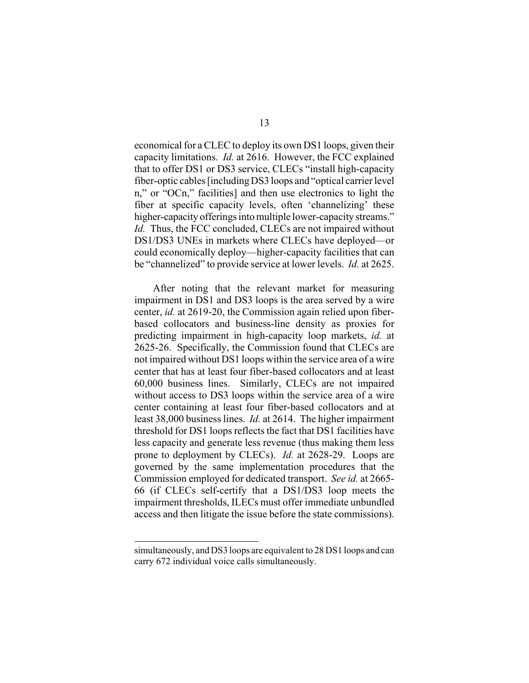economical for a CLEC to deploy its own DS1 loops, given their capacity limitations. *Id.* at 2616. However, the FCC explained that to offer DS1 or DS3 service, CLECs "install high-capacity fiber-optic cables [including DS3 loops and "optical carrier level n," or "OCn," facilities] and then use electronics to light the fiber at specific capacity levels, often 'channelizing' these higher-capacity offerings into multiple lower-capacity streams." *Id.* Thus, the FCC concluded, CLECs are not impaired without DS1/DS3 UNEs in markets where CLECs have deployed—or could economically deploy—higher-capacity facilities that can be "channelized" to provide service at lower levels. *Id.* at 2625.

After noting that the relevant market for measuring impairment in DS1 and DS3 loops is the area served by a wire center, *id.* at 2619-20, the Commission again relied upon fiberbased collocators and business-line density as proxies for predicting impairment in high-capacity loop markets, *id.* at 2625-26. Specifically, the Commission found that CLECs are not impaired without DS1 loops within the service area of a wire center that has at least four fiber-based collocators and at least 60,000 business lines. Similarly, CLECs are not impaired without access to DS3 loops within the service area of a wire center containing at least four fiber-based collocators and at least 38,000 business lines. *Id.* at 2614.The higher impairment threshold for DS1 loops reflects the fact that DS1 facilities have less capacity and generate less revenue (thus making them less prone to deployment by CLECs). *Id.* at 2628-29. Loops are governed by the same implementation procedures that the Commission employed for dedicated transport. *See id.* at 2665- 66 (if CLECs self-certify that a DS1/DS3 loop meets the impairment thresholds, ILECs must offer immediate unbundled access and then litigate the issue before the state commissions).

simultaneously, and DS3 loops are equivalent to 28 DS1 loops and can carry 672 individual voice calls simultaneously.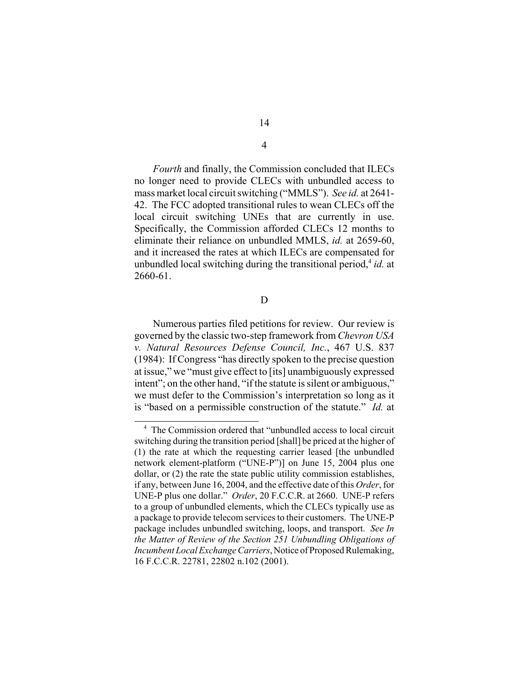*Fourth* and finally, the Commission concluded that ILECs no longer need to provide CLECs with unbundled access to mass market local circuit switching ("MMLS"). *See id.* at 2641- 42. The FCC adopted transitional rules to wean CLECs off the local circuit switching UNEs that are currently in use. Specifically, the Commission afforded CLECs 12 months to eliminate their reliance on unbundled MMLS, *id.* at 2659-60, and it increased the rates at which ILECs are compensated for unbundled local switching during the transitional period,<sup>4</sup> *id.* at 2660-61.

D

Numerous parties filed petitions for review. Our review is governed by the classic two-step framework from *Chevron USA v. Natural Resources Defense Council, Inc.*, 467 U.S. 837 (1984): If Congress "has directly spoken to the precise question at issue," we "must give effect to [its] unambiguously expressed intent"; on the other hand, "if the statute is silent or ambiguous," we must defer to the Commission's interpretation so long as it is "based on a permissible construction of the statute." *Id.* at

4

<sup>&</sup>lt;sup>4</sup> The Commission ordered that "unbundled access to local circuit switching during the transition period [shall] be priced at the higher of (1) the rate at which the requesting carrier leased [the unbundled network element-platform ("UNE-P")] on June 15, 2004 plus one dollar, or (2) the rate the state public utility commission establishes, if any, between June 16, 2004, and the effective date of this *Order*, for UNE-P plus one dollar." *Order*, 20 F.C.C.R. at 2660. UNE-P refers to a group of unbundled elements, which the CLECs typically use as a package to provide telecom services to their customers. The UNE-P package includes unbundled switching, loops, and transport. *See In the Matter of Review of the Section 251 Unbundling Obligations of Incumbent Local Exchange Carriers*, Notice of Proposed Rulemaking, 16 F.C.C.R. 22781, 22802 n.102 (2001).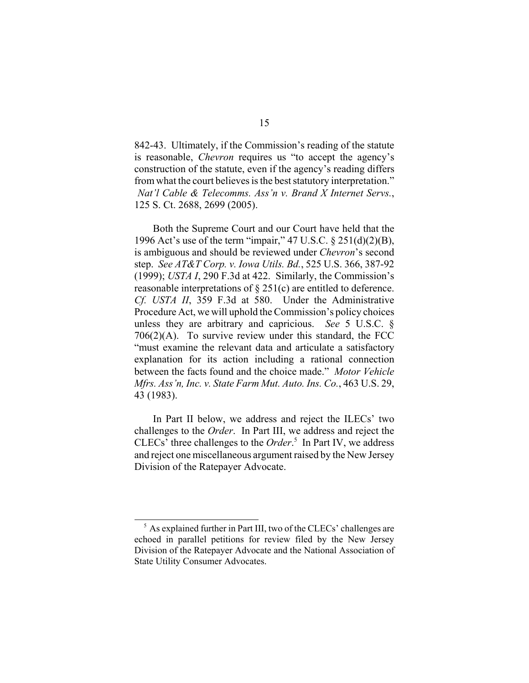842-43. Ultimately, if the Commission's reading of the statute is reasonable, *Chevron* requires us "to accept the agency's construction of the statute, even if the agency's reading differs from what the court believes is the best statutory interpretation."  *Nat'l Cable & Telecomms. Ass'n v. Brand X Internet Servs.*, 125 S. Ct. 2688, 2699 (2005).

Both the Supreme Court and our Court have held that the 1996 Act's use of the term "impair," 47 U.S.C. § 251(d)(2)(B), is ambiguous and should be reviewed under *Chevron*'s second step. *See AT&T Corp. v. Iowa Utils. Bd.*, 525 U.S. 366, 387-92 (1999); *USTA I*, 290 F.3d at 422. Similarly, the Commission's reasonable interpretations of § 251(c) are entitled to deference. *Cf. USTA II*, 359 F.3d at 580. Under the Administrative Procedure Act, we will uphold the Commission's policy choices unless they are arbitrary and capricious. *See* 5 U.S.C. § 706(2)(A). To survive review under this standard, the FCC "must examine the relevant data and articulate a satisfactory explanation for its action including a rational connection between the facts found and the choice made." *Motor Vehicle Mfrs. Ass'n, Inc. v. State Farm Mut. Auto. Ins. Co.*, 463 U.S. 29, 43 (1983).

In Part II below, we address and reject the ILECs' two challenges to the *Order*. In Part III, we address and reject the CLECs' three challenges to the *Order*. 5 In Part IV, we address and reject one miscellaneous argument raised by the New Jersey Division of the Ratepayer Advocate.

 $<sup>5</sup>$  As explained further in Part III, two of the CLECs' challenges are</sup> echoed in parallel petitions for review filed by the New Jersey Division of the Ratepayer Advocate and the National Association of State Utility Consumer Advocates.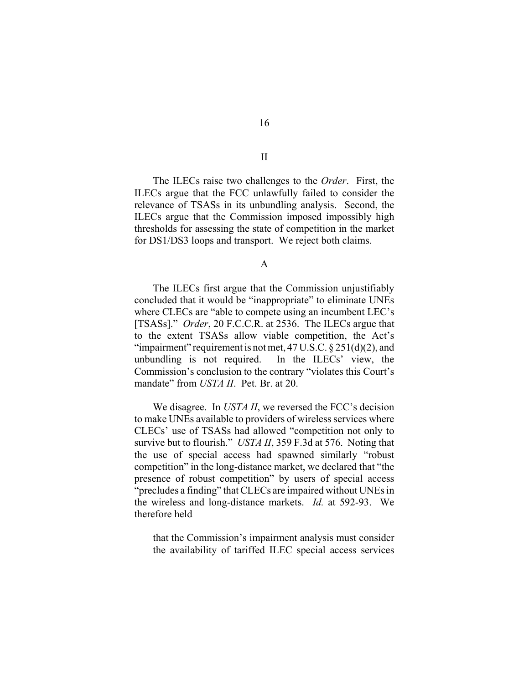The ILECs raise two challenges to the *Order*. First, the ILECs argue that the FCC unlawfully failed to consider the relevance of TSASs in its unbundling analysis. Second, the ILECs argue that the Commission imposed impossibly high thresholds for assessing the state of competition in the market for DS1/DS3 loops and transport. We reject both claims.

A

The ILECs first argue that the Commission unjustifiably concluded that it would be "inappropriate" to eliminate UNEs where CLECs are "able to compete using an incumbent LEC's [TSASs]." *Order*, 20 F.C.C.R. at 2536. The ILECs argue that to the extent TSASs allow viable competition, the Act's "impairment" requirement is not met,  $47 \text{ U.S.C.} \$  $251\text{ (d)}\text{ (2)}$ , and unbundling is not required. In the ILECs' view, the Commission's conclusion to the contrary "violates this Court's mandate" from *USTA II*. Pet. Br. at 20.

We disagree. In *USTA II*, we reversed the FCC's decision to make UNEs available to providers of wireless services where CLECs' use of TSASs had allowed "competition not only to survive but to flourish." *USTA II*, 359 F.3d at 576. Noting that the use of special access had spawned similarly "robust competition" in the long-distance market, we declared that "the presence of robust competition" by users of special access "precludes a finding" that CLECs are impaired without UNEs in the wireless and long-distance markets. *Id.* at 592-93. We therefore held

that the Commission's impairment analysis must consider the availability of tariffed ILEC special access services

II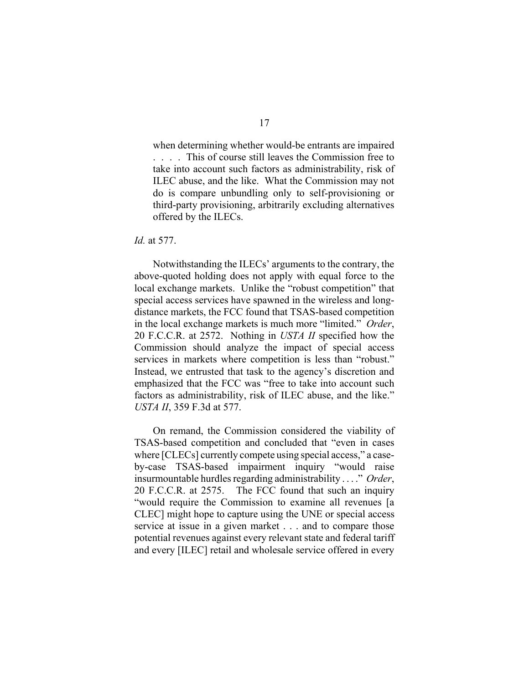when determining whether would-be entrants are impaired . . . . This of course still leaves the Commission free to take into account such factors as administrability, risk of ILEC abuse, and the like. What the Commission may not do is compare unbundling only to self-provisioning or third-party provisioning, arbitrarily excluding alternatives offered by the ILECs.

### *Id.* at 577.

Notwithstanding the ILECs' arguments to the contrary, the above-quoted holding does not apply with equal force to the local exchange markets. Unlike the "robust competition" that special access services have spawned in the wireless and longdistance markets, the FCC found that TSAS-based competition in the local exchange markets is much more "limited." *Order*, 20 F.C.C.R. at 2572. Nothing in *USTA II* specified how the Commission should analyze the impact of special access services in markets where competition is less than "robust." Instead, we entrusted that task to the agency's discretion and emphasized that the FCC was "free to take into account such factors as administrability, risk of ILEC abuse, and the like." *USTA II*, 359 F.3d at 577.

On remand, the Commission considered the viability of TSAS-based competition and concluded that "even in cases where [CLECs] currently compete using special access," a caseby-case TSAS-based impairment inquiry "would raise insurmountable hurdles regarding administrability . . . ." *Order*, 20 F.C.C.R. at 2575. The FCC found that such an inquiry "would require the Commission to examine all revenues [a CLEC] might hope to capture using the UNE or special access service at issue in a given market . . . and to compare those potential revenues against every relevant state and federal tariff and every [ILEC] retail and wholesale service offered in every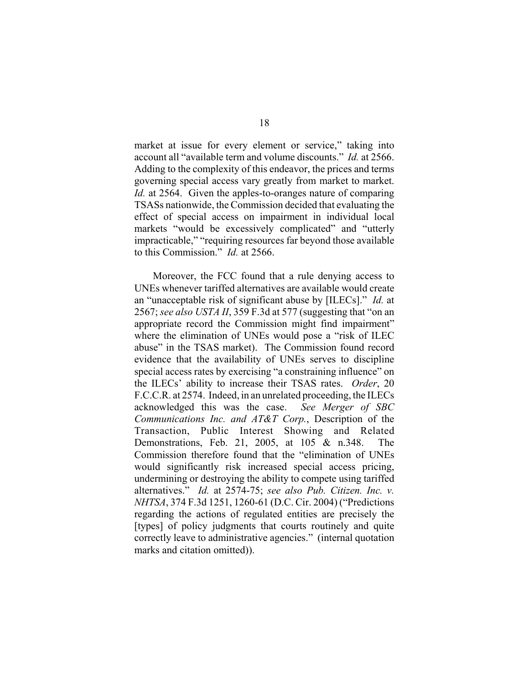market at issue for every element or service," taking into account all "available term and volume discounts." *Id.* at 2566. Adding to the complexity of this endeavor, the prices and terms governing special access vary greatly from market to market. *Id.* at 2564. Given the apples-to-oranges nature of comparing TSASs nationwide, the Commission decided that evaluating the effect of special access on impairment in individual local markets "would be excessively complicated" and "utterly impracticable," "requiring resources far beyond those available to this Commission." *Id.* at 2566.

Moreover, the FCC found that a rule denying access to UNEs whenever tariffed alternatives are available would create an "unacceptable risk of significant abuse by [ILECs]." *Id.* at 2567; *see also USTA II*, 359 F.3d at 577 (suggesting that "on an appropriate record the Commission might find impairment" where the elimination of UNEs would pose a "risk of ILEC abuse" in the TSAS market). The Commission found record evidence that the availability of UNEs serves to discipline special access rates by exercising "a constraining influence" on the ILECs' ability to increase their TSAS rates. *Order*, 20 F.C.C.R. at 2574. Indeed, in an unrelated proceeding, the ILECs acknowledged this was the case. *See Merger of SBC Communications Inc. and AT&T Corp.*, Description of the Transaction, Public Interest Showing and Related Demonstrations, Feb. 21, 2005, at 105 & n.348. The Commission therefore found that the "elimination of UNEs would significantly risk increased special access pricing, undermining or destroying the ability to compete using tariffed alternatives." *Id.* at 2574-75; *see also Pub. Citizen. Inc. v. NHTSA*, 374 F.3d 1251, 1260-61 (D.C. Cir. 2004) ("Predictions regarding the actions of regulated entities are precisely the [types] of policy judgments that courts routinely and quite correctly leave to administrative agencies." (internal quotation marks and citation omitted)).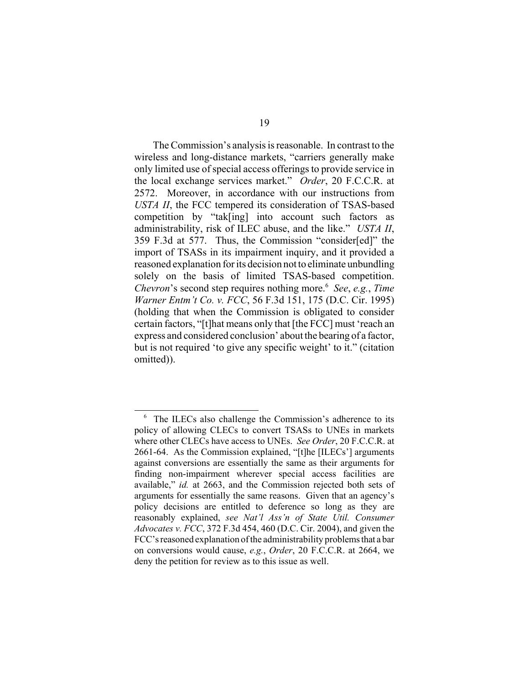The Commission's analysis is reasonable. In contrast to the wireless and long-distance markets, "carriers generally make only limited use of special access offerings to provide service in the local exchange services market." *Order*, 20 F.C.C.R. at 2572. Moreover, in accordance with our instructions from *USTA II*, the FCC tempered its consideration of TSAS-based competition by "tak[ing] into account such factors as administrability, risk of ILEC abuse, and the like." *USTA II*, 359 F.3d at 577. Thus, the Commission "consider[ed]" the import of TSASs in its impairment inquiry, and it provided a reasoned explanation for its decision not to eliminate unbundling solely on the basis of limited TSAS-based competition. *Chevron*'s second step requires nothing more.6 *See*, *e.g.*, *Time Warner Entm't Co. v. FCC*, 56 F.3d 151, 175 (D.C. Cir. 1995) (holding that when the Commission is obligated to consider certain factors, "[t]hat means only that [the FCC] must 'reach an express and considered conclusion' about the bearing of a factor, but is not required 'to give any specific weight' to it." (citation omitted)).

<sup>&</sup>lt;sup>6</sup> The ILECs also challenge the Commission's adherence to its policy of allowing CLECs to convert TSASs to UNEs in markets where other CLECs have access to UNEs. *See Order*, 20 F.C.C.R. at 2661-64. As the Commission explained, "[t]he [ILECs'] arguments against conversions are essentially the same as their arguments for finding non-impairment wherever special access facilities are available," *id.* at 2663, and the Commission rejected both sets of arguments for essentially the same reasons. Given that an agency's policy decisions are entitled to deference so long as they are reasonably explained, *see Nat'l Ass'n of State Util. Consumer Advocates v. FCC*, 372 F.3d 454, 460 (D.C. Cir. 2004), and given the FCC's reasoned explanation of the administrability problems that a bar on conversions would cause, *e.g.*, *Order*, 20 F.C.C.R. at 2664, we deny the petition for review as to this issue as well.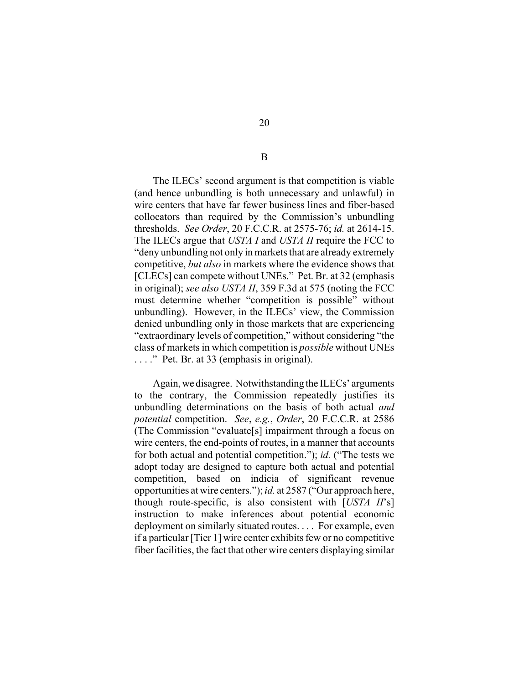The ILECs' second argument is that competition is viable (and hence unbundling is both unnecessary and unlawful) in wire centers that have far fewer business lines and fiber-based collocators than required by the Commission's unbundling thresholds. *See Order*, 20 F.C.C.R. at 2575-76; *id.* at 2614-15. The ILECs argue that *USTA I* and *USTA II* require the FCC to "deny unbundling not only in markets that are already extremely competitive, *but also* in markets where the evidence shows that [CLECs] can compete without UNEs." Pet. Br. at 32 (emphasis in original); *see also USTA II*, 359 F.3d at 575 (noting the FCC must determine whether "competition is possible" without unbundling). However, in the ILECs' view, the Commission denied unbundling only in those markets that are experiencing "extraordinary levels of competition," without considering "the class of markets in which competition is *possible* without UNEs . . . ." Pet. Br. at 33 (emphasis in original).

Again, we disagree. Notwithstanding the ILECs' arguments to the contrary, the Commission repeatedly justifies its unbundling determinations on the basis of both actual *and potential* competition. *See*, *e.g.*, *Order*, 20 F.C.C.R. at 2586 (The Commission "evaluate[s] impairment through a focus on wire centers, the end-points of routes, in a manner that accounts for both actual and potential competition."); *id.* ("The tests we adopt today are designed to capture both actual and potential competition, based on indicia of significant revenue opportunities at wire centers."); *id.* at 2587 ("Our approach here, though route-specific, is also consistent with [*USTA II*'s] instruction to make inferences about potential economic deployment on similarly situated routes. . . . For example, even if a particular [Tier 1] wire center exhibits few or no competitive fiber facilities, the fact that other wire centers displaying similar

B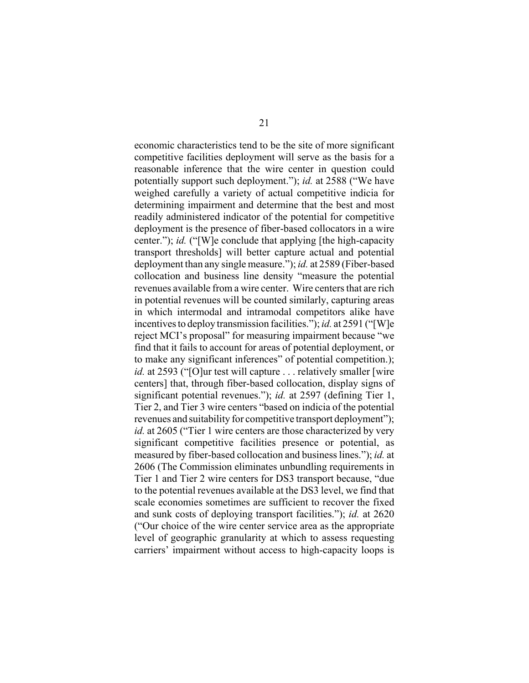economic characteristics tend to be the site of more significant competitive facilities deployment will serve as the basis for a reasonable inference that the wire center in question could potentially support such deployment."); *id.* at 2588 ("We have weighed carefully a variety of actual competitive indicia for determining impairment and determine that the best and most readily administered indicator of the potential for competitive deployment is the presence of fiber-based collocators in a wire center."); *id.* ("[W]e conclude that applying [the high-capacity transport thresholds] will better capture actual and potential deployment than any single measure."); *id.* at 2589 (Fiber-based collocation and business line density "measure the potential revenues available from a wire center. Wire centers that are rich in potential revenues will be counted similarly, capturing areas in which intermodal and intramodal competitors alike have incentives to deploy transmission facilities."); *id.* at 2591 ("[W]e reject MCI's proposal" for measuring impairment because "we find that it fails to account for areas of potential deployment, or to make any significant inferences" of potential competition.); *id.* at 2593 ("[O]ur test will capture . . . relatively smaller [wire] centers] that, through fiber-based collocation, display signs of significant potential revenues."); *id.* at 2597 (defining Tier 1, Tier 2, and Tier 3 wire centers "based on indicia of the potential revenues and suitability for competitive transport deployment"); *id.* at 2605 ("Tier 1 wire centers are those characterized by very significant competitive facilities presence or potential, as measured by fiber-based collocation and business lines."); *id.* at 2606 (The Commission eliminates unbundling requirements in Tier 1 and Tier 2 wire centers for DS3 transport because, "due to the potential revenues available at the DS3 level, we find that scale economies sometimes are sufficient to recover the fixed and sunk costs of deploying transport facilities."); *id.* at 2620 ("Our choice of the wire center service area as the appropriate level of geographic granularity at which to assess requesting carriers' impairment without access to high-capacity loops is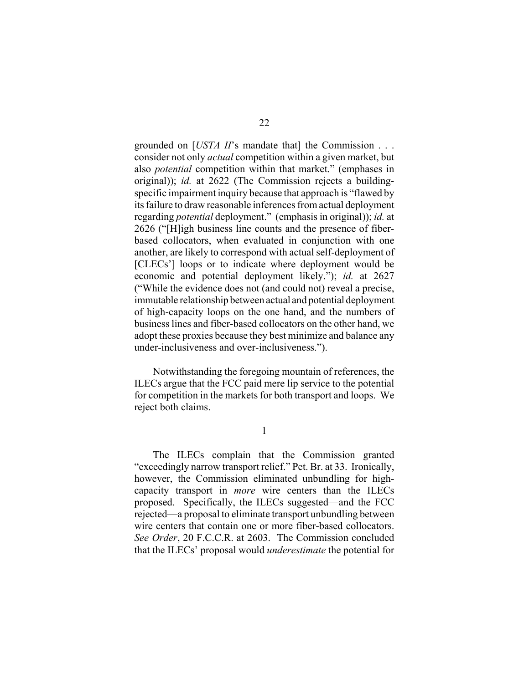grounded on [*USTA II*'s mandate that] the Commission . . . consider not only *actual* competition within a given market, but also *potential* competition within that market." (emphases in original)); *id.* at 2622 (The Commission rejects a buildingspecific impairment inquiry because that approach is "flawed by its failure to draw reasonable inferences from actual deployment regarding *potential* deployment." (emphasis in original)); *id.* at 2626 ("[H]igh business line counts and the presence of fiberbased collocators, when evaluated in conjunction with one another, are likely to correspond with actual self-deployment of [CLECs'] loops or to indicate where deployment would be economic and potential deployment likely."); *id.* at 2627 ("While the evidence does not (and could not) reveal a precise, immutable relationship between actual and potential deployment of high-capacity loops on the one hand, and the numbers of business lines and fiber-based collocators on the other hand, we adopt these proxies because they best minimize and balance any under-inclusiveness and over-inclusiveness.").

Notwithstanding the foregoing mountain of references, the ILECs argue that the FCC paid mere lip service to the potential for competition in the markets for both transport and loops. We reject both claims.

1

The ILECs complain that the Commission granted "exceedingly narrow transport relief." Pet. Br. at 33. Ironically, however, the Commission eliminated unbundling for highcapacity transport in *more* wire centers than the ILECs proposed. Specifically, the ILECs suggested—and the FCC rejected—a proposal to eliminate transport unbundling between wire centers that contain one or more fiber-based collocators. *See Order*, 20 F.C.C.R. at 2603. The Commission concluded that the ILECs' proposal would *underestimate* the potential for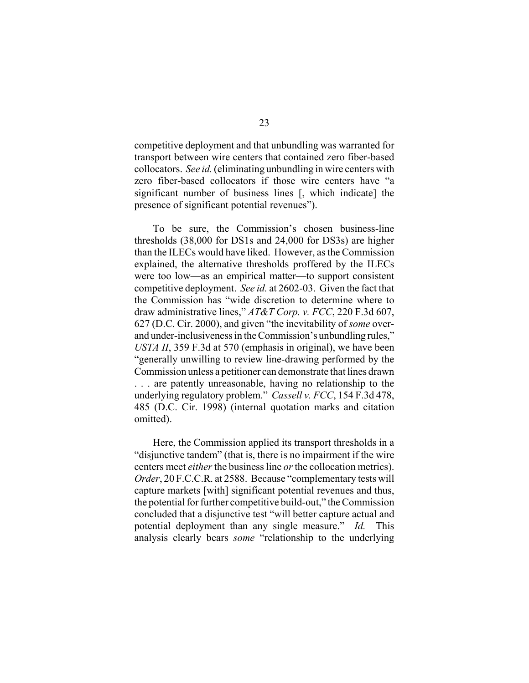competitive deployment and that unbundling was warranted for transport between wire centers that contained zero fiber-based collocators. *See id.* (eliminating unbundling in wire centers with zero fiber-based collocators if those wire centers have "a significant number of business lines [, which indicate] the presence of significant potential revenues").

To be sure, the Commission's chosen business-line thresholds (38,000 for DS1s and 24,000 for DS3s) are higher than the ILECs would have liked. However, as the Commission explained, the alternative thresholds proffered by the ILECs were too low—as an empirical matter—to support consistent competitive deployment. *See id.* at 2602-03. Given the fact that the Commission has "wide discretion to determine where to draw administrative lines," *AT&T Corp. v. FCC*, 220 F.3d 607, 627 (D.C. Cir. 2000), and given "the inevitability of *some* overand under-inclusiveness in the Commission's unbundling rules," *USTA II*, 359 F.3d at 570 (emphasis in original), we have been "generally unwilling to review line-drawing performed by the Commission unless a petitioner can demonstrate that lines drawn . . . are patently unreasonable, having no relationship to the underlying regulatory problem." *Cassell v. FCC*, 154 F.3d 478, 485 (D.C. Cir. 1998) (internal quotation marks and citation omitted).

Here, the Commission applied its transport thresholds in a "disjunctive tandem" (that is, there is no impairment if the wire centers meet *either* the business line *or* the collocation metrics). *Order*, 20 F.C.C.R. at 2588. Because "complementary tests will capture markets [with] significant potential revenues and thus, the potential for further competitive build-out," the Commission concluded that a disjunctive test "will better capture actual and potential deployment than any single measure." *Id.* This analysis clearly bears *some* "relationship to the underlying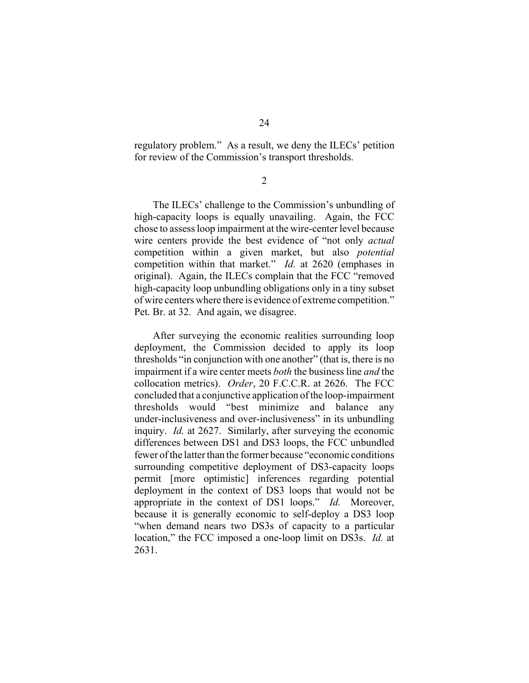regulatory problem." As a result, we deny the ILECs' petition for review of the Commission's transport thresholds.

2

The ILECs' challenge to the Commission's unbundling of high-capacity loops is equally unavailing. Again, the FCC chose to assess loop impairment at the wire-center level because wire centers provide the best evidence of "not only *actual* competition within a given market, but also *potential* competition within that market." *Id.* at 2620 (emphases in original). Again, the ILECs complain that the FCC "removed high-capacity loop unbundling obligations only in a tiny subset of wire centers where there is evidence of extreme competition." Pet. Br. at 32. And again, we disagree.

After surveying the economic realities surrounding loop deployment, the Commission decided to apply its loop thresholds "in conjunction with one another" (that is, there is no impairment if a wire center meets *both* the business line *and* the collocation metrics). *Order*, 20 F.C.C.R. at 2626. The FCC concluded that a conjunctive application of the loop-impairment thresholds would "best minimize and balance any under-inclusiveness and over-inclusiveness" in its unbundling inquiry. *Id.* at 2627. Similarly, after surveying the economic differences between DS1 and DS3 loops, the FCC unbundled fewer of the latter than the former because "economic conditions surrounding competitive deployment of DS3-capacity loops permit [more optimistic] inferences regarding potential deployment in the context of DS3 loops that would not be appropriate in the context of DS1 loops." *Id.* Moreover, because it is generally economic to self-deploy a DS3 loop "when demand nears two DS3s of capacity to a particular location," the FCC imposed a one-loop limit on DS3s. *Id.* at 2631.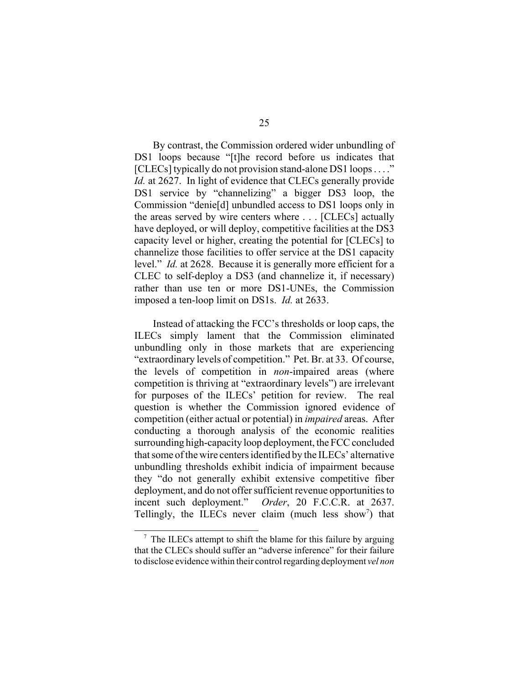By contrast, the Commission ordered wider unbundling of DS1 loops because "[t]he record before us indicates that [CLECs] typically do not provision stand-alone DS1 loops . . . ." *Id.* at 2627. In light of evidence that CLECs generally provide DS1 service by "channelizing" a bigger DS3 loop, the Commission "denie[d] unbundled access to DS1 loops only in the areas served by wire centers where . . . [CLECs] actually have deployed, or will deploy, competitive facilities at the DS3 capacity level or higher, creating the potential for [CLECs] to channelize those facilities to offer service at the DS1 capacity level." *Id.* at 2628. Because it is generally more efficient for a CLEC to self-deploy a DS3 (and channelize it, if necessary) rather than use ten or more DS1-UNEs, the Commission imposed a ten-loop limit on DS1s. *Id.* at 2633.

Instead of attacking the FCC's thresholds or loop caps, the ILECs simply lament that the Commission eliminated unbundling only in those markets that are experiencing "extraordinary levels of competition." Pet. Br. at 33. Of course, the levels of competition in *non*-impaired areas (where competition is thriving at "extraordinary levels") are irrelevant for purposes of the ILECs' petition for review. The real question is whether the Commission ignored evidence of competition (either actual or potential) in *impaired* areas. After conducting a thorough analysis of the economic realities surrounding high-capacity loop deployment, the FCC concluded that some of the wire centers identified by the ILECs' alternative unbundling thresholds exhibit indicia of impairment because they "do not generally exhibit extensive competitive fiber deployment, and do not offer sufficient revenue opportunities to incent such deployment." *Order*, 20 F.C.C.R. at 2637. Tellingly, the ILECs never claim (much less show<sup>7</sup>) that

 $\frac{7}{7}$  The ILECs attempt to shift the blame for this failure by arguing that the CLECs should suffer an "adverse inference" for their failure to disclose evidence within their control regarding deployment *vel non*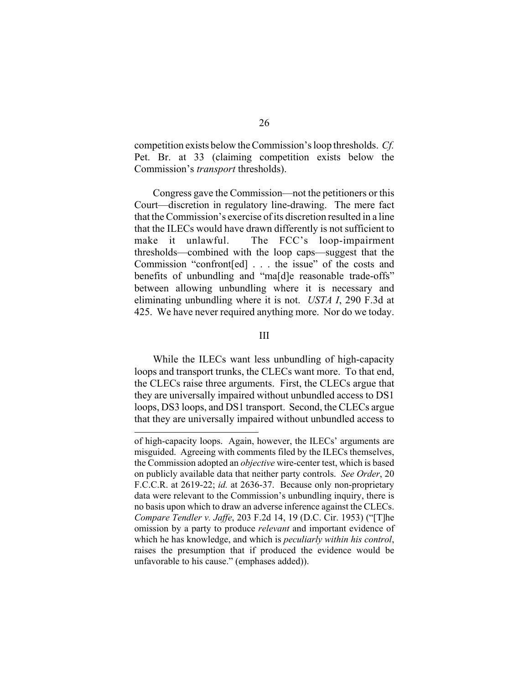competition exists below the Commission's loop thresholds. *Cf.* Pet. Br. at 33 (claiming competition exists below the Commission's *transport* thresholds).

Congress gave the Commission—not the petitioners or this Court—discretion in regulatory line-drawing. The mere fact that the Commission's exercise of its discretion resulted in a line that the ILECs would have drawn differently is not sufficient to make it unlawful. The FCC's loop-impairment thresholds—combined with the loop caps—suggest that the Commission "confront[ed] . . . the issue" of the costs and benefits of unbundling and "ma[d]e reasonable trade-offs" between allowing unbundling where it is necessary and eliminating unbundling where it is not. *USTA I*, 290 F.3d at 425. We have never required anything more. Nor do we today.

#### III

While the ILECs want less unbundling of high-capacity loops and transport trunks, the CLECs want more. To that end, the CLECs raise three arguments. First, the CLECs argue that they are universally impaired without unbundled access to DS1 loops, DS3 loops, and DS1 transport. Second, the CLECs argue that they are universally impaired without unbundled access to

of high-capacity loops. Again, however, the ILECs' arguments are misguided. Agreeing with comments filed by the ILECs themselves, the Commission adopted an *objective* wire-center test, which is based on publicly available data that neither party controls. *See Order*, 20 F.C.C.R. at 2619-22; *id.* at 2636-37. Because only non-proprietary data were relevant to the Commission's unbundling inquiry, there is no basis upon which to draw an adverse inference against the CLECs. *Compare Tendler v. Jaffe*, 203 F.2d 14, 19 (D.C. Cir. 1953) ("[T]he omission by a party to produce *relevant* and important evidence of which he has knowledge, and which is *peculiarly within his control*, raises the presumption that if produced the evidence would be unfavorable to his cause." (emphases added)).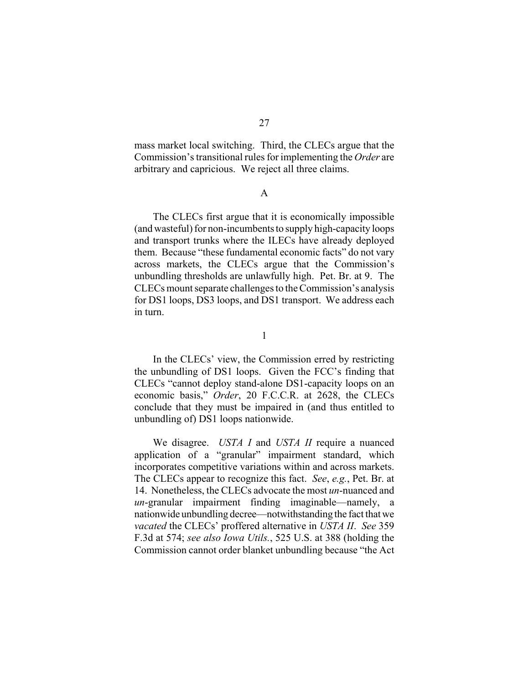mass market local switching. Third, the CLECs argue that the Commission's transitional rules for implementing the *Order* are arbitrary and capricious. We reject all three claims.

#### A

The CLECs first argue that it is economically impossible (and wasteful) for non-incumbents to supply high-capacity loops and transport trunks where the ILECs have already deployed them. Because "these fundamental economic facts" do not vary across markets, the CLECs argue that the Commission's unbundling thresholds are unlawfully high. Pet. Br. at 9. The CLECs mount separate challenges to the Commission's analysis for DS1 loops, DS3 loops, and DS1 transport. We address each in turn.

1

In the CLECs' view, the Commission erred by restricting the unbundling of DS1 loops. Given the FCC's finding that CLECs "cannot deploy stand-alone DS1-capacity loops on an economic basis," *Order*, 20 F.C.C.R. at 2628, the CLECs conclude that they must be impaired in (and thus entitled to unbundling of) DS1 loops nationwide.

We disagree. *USTA I* and *USTA II* require a nuanced application of a "granular" impairment standard, which incorporates competitive variations within and across markets. The CLECs appear to recognize this fact. *See*, *e.g.*, Pet. Br. at 14. Nonetheless, the CLECs advocate the most *un*-nuanced and *un*-granular impairment finding imaginable—namely, a nationwide unbundling decree—notwithstanding the fact that we *vacated* the CLECs' proffered alternative in *USTA II*. *See* 359 F.3d at 574; *see also Iowa Utils.*, 525 U.S. at 388 (holding the Commission cannot order blanket unbundling because "the Act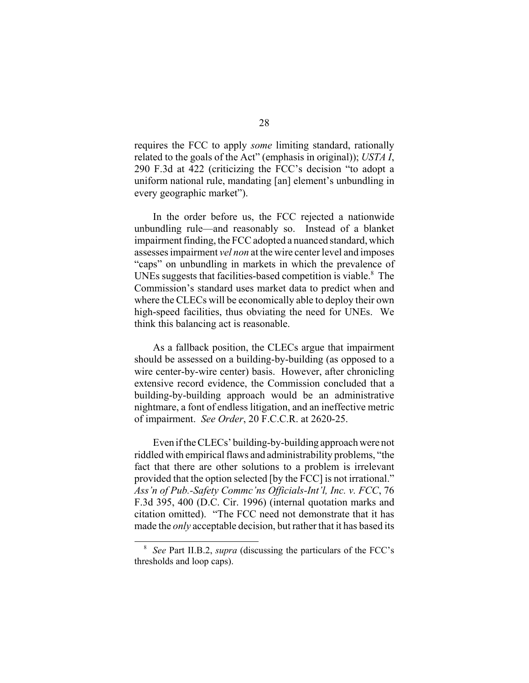requires the FCC to apply *some* limiting standard, rationally related to the goals of the Act" (emphasis in original)); *USTA I*, 290 F.3d at 422 (criticizing the FCC's decision "to adopt a uniform national rule, mandating [an] element's unbundling in every geographic market").

In the order before us, the FCC rejected a nationwide unbundling rule—and reasonably so. Instead of a blanket impairment finding, the FCC adopted a nuanced standard, which assesses impairment *vel non* at the wire center level and imposes "caps" on unbundling in markets in which the prevalence of UNEs suggests that facilities-based competition is viable.<sup>8</sup> The Commission's standard uses market data to predict when and where the CLECs will be economically able to deploy their own high-speed facilities, thus obviating the need for UNEs. We think this balancing act is reasonable.

As a fallback position, the CLECs argue that impairment should be assessed on a building-by-building (as opposed to a wire center-by-wire center) basis. However, after chronicling extensive record evidence, the Commission concluded that a building-by-building approach would be an administrative nightmare, a font of endless litigation, and an ineffective metric of impairment. *See Order*, 20 F.C.C.R. at 2620-25.

Even if the CLECs' building-by-building approach were not riddled with empirical flaws and administrability problems, "the fact that there are other solutions to a problem is irrelevant provided that the option selected [by the FCC] is not irrational." *Ass'n of Pub.-Safety Commc'ns Officials-Int'l, Inc. v. FCC*, 76 F.3d 395, 400 (D.C. Cir. 1996) (internal quotation marks and citation omitted). "The FCC need not demonstrate that it has made the *only* acceptable decision, but rather that it has based its

<sup>8</sup> *See* Part II.B.2, *supra* (discussing the particulars of the FCC's thresholds and loop caps).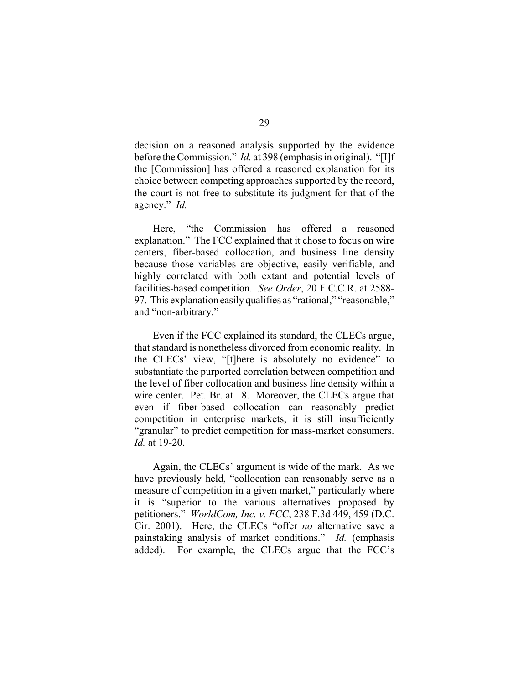decision on a reasoned analysis supported by the evidence before the Commission." *Id.* at 398 (emphasis in original). "[I]f the [Commission] has offered a reasoned explanation for its choice between competing approaches supported by the record, the court is not free to substitute its judgment for that of the agency." *Id.*

Here, "the Commission has offered a reasoned explanation." The FCC explained that it chose to focus on wire centers, fiber-based collocation, and business line density because those variables are objective, easily verifiable, and highly correlated with both extant and potential levels of facilities-based competition. *See Order*, 20 F.C.C.R. at 2588- 97. This explanation easily qualifies as "rational," "reasonable," and "non-arbitrary."

Even if the FCC explained its standard, the CLECs argue, that standard is nonetheless divorced from economic reality. In the CLECs' view, "[t]here is absolutely no evidence" to substantiate the purported correlation between competition and the level of fiber collocation and business line density within a wire center. Pet. Br. at 18. Moreover, the CLECs argue that even if fiber-based collocation can reasonably predict competition in enterprise markets, it is still insufficiently "granular" to predict competition for mass-market consumers. *Id.* at 19-20.

Again, the CLECs' argument is wide of the mark. As we have previously held, "collocation can reasonably serve as a measure of competition in a given market," particularly where it is "superior to the various alternatives proposed by petitioners." *WorldCom, Inc. v. FCC*, 238 F.3d 449, 459 (D.C. Cir. 2001). Here, the CLECs "offer *no* alternative save a painstaking analysis of market conditions." *Id.* (emphasis added). For example, the CLECs argue that the FCC's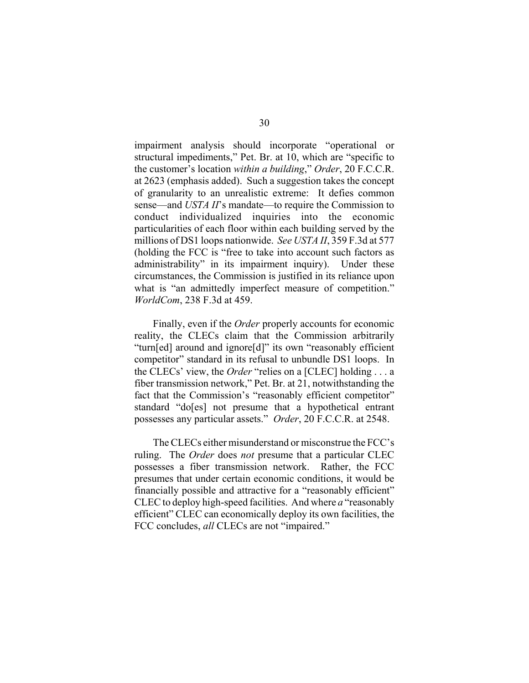impairment analysis should incorporate "operational or structural impediments," Pet. Br. at 10, which are "specific to the customer's location *within a building*," *Order*, 20 F.C.C.R. at 2623 (emphasis added). Such a suggestion takes the concept of granularity to an unrealistic extreme: It defies common sense—and *USTA II*'s mandate—to require the Commission to conduct individualized inquiries into the economic particularities of each floor within each building served by the millions of DS1 loops nationwide. *See USTA II*, 359 F.3d at 577 (holding the FCC is "free to take into account such factors as administrability" in its impairment inquiry). Under these circumstances, the Commission is justified in its reliance upon what is "an admittedly imperfect measure of competition." *WorldCom*, 238 F.3d at 459.

Finally, even if the *Order* properly accounts for economic reality, the CLECs claim that the Commission arbitrarily "turn[ed] around and ignore[d]" its own "reasonably efficient competitor" standard in its refusal to unbundle DS1 loops. In the CLECs' view, the *Order* "relies on a [CLEC] holding . . . a fiber transmission network," Pet. Br. at 21, notwithstanding the fact that the Commission's "reasonably efficient competitor" standard "do[es] not presume that a hypothetical entrant possesses any particular assets." *Order*, 20 F.C.C.R. at 2548.

The CLECs either misunderstand or misconstrue the FCC's ruling. The *Order* does *not* presume that a particular CLEC possesses a fiber transmission network. Rather, the FCC presumes that under certain economic conditions, it would be financially possible and attractive for a "reasonably efficient" CLEC to deploy high-speed facilities. And where *a* "reasonably efficient" CLEC can economically deploy its own facilities, the FCC concludes, *all* CLECs are not "impaired."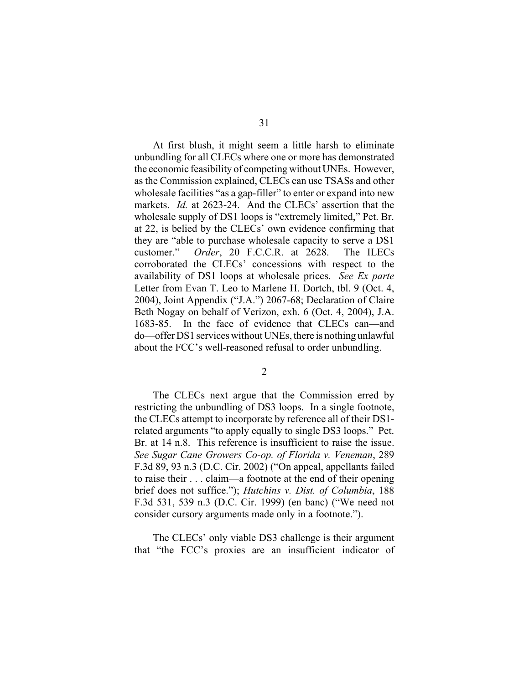At first blush, it might seem a little harsh to eliminate unbundling for all CLECs where one or more has demonstrated the economic feasibility of competing without UNEs. However, as the Commission explained, CLECs can use TSASs and other wholesale facilities "as a gap-filler" to enter or expand into new markets. *Id.* at 2623-24. And the CLECs' assertion that the wholesale supply of DS1 loops is "extremely limited," Pet. Br. at 22, is belied by the CLECs' own evidence confirming that they are "able to purchase wholesale capacity to serve a DS1 customer." *Order*, 20 F.C.C.R. at 2628. The ILECs corroborated the CLECs' concessions with respect to the availability of DS1 loops at wholesale prices. *See Ex parte* Letter from Evan T. Leo to Marlene H. Dortch, tbl. 9 (Oct. 4, 2004), Joint Appendix ("J.A.") 2067-68; Declaration of Claire Beth Nogay on behalf of Verizon, exh. 6 (Oct. 4, 2004), J.A. 1683-85. In the face of evidence that CLECs can—and do—offer DS1 services without UNEs, there is nothing unlawful about the FCC's well-reasoned refusal to order unbundling.

2

The CLECs next argue that the Commission erred by restricting the unbundling of DS3 loops. In a single footnote, the CLECs attempt to incorporate by reference all of their DS1 related arguments "to apply equally to single DS3 loops." Pet. Br. at 14 n.8. This reference is insufficient to raise the issue. *See Sugar Cane Growers Co-op. of Florida v. Veneman*, 289 F.3d 89, 93 n.3 (D.C. Cir. 2002) ("On appeal, appellants failed to raise their . . . claim—a footnote at the end of their opening brief does not suffice."); *Hutchins v. Dist. of Columbia*, 188 F.3d 531, 539 n.3 (D.C. Cir. 1999) (en banc) ("We need not consider cursory arguments made only in a footnote.").

The CLECs' only viable DS3 challenge is their argument that "the FCC's proxies are an insufficient indicator of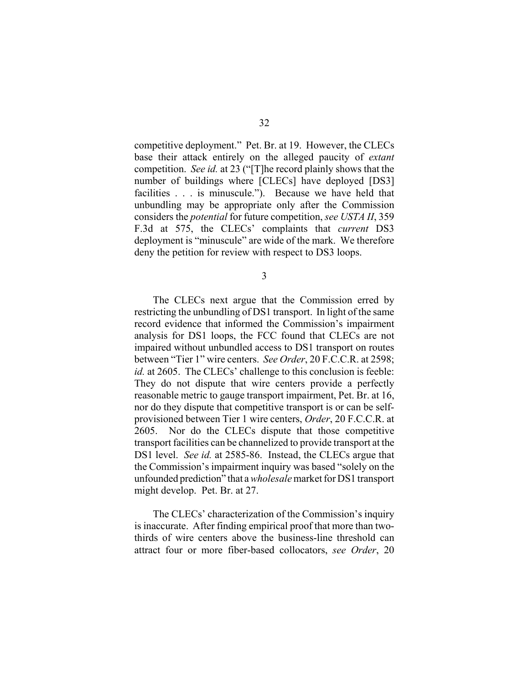competitive deployment." Pet. Br. at 19. However, the CLECs base their attack entirely on the alleged paucity of *extant* competition. *See id.* at 23 ("[T]he record plainly shows that the number of buildings where [CLECs] have deployed [DS3] facilities . . . is minuscule."). Because we have held that unbundling may be appropriate only after the Commission considers the *potential* for future competition, *see USTA II*, 359 F.3d at 575, the CLECs' complaints that *current* DS3 deployment is "minuscule" are wide of the mark. We therefore deny the petition for review with respect to DS3 loops.

3

The CLECs next argue that the Commission erred by restricting the unbundling of DS1 transport. In light of the same record evidence that informed the Commission's impairment analysis for DS1 loops, the FCC found that CLECs are not impaired without unbundled access to DS1 transport on routes between "Tier 1" wire centers. *See Order*, 20 F.C.C.R. at 2598; *id.* at 2605. The CLECs' challenge to this conclusion is feeble: They do not dispute that wire centers provide a perfectly reasonable metric to gauge transport impairment, Pet. Br. at 16, nor do they dispute that competitive transport is or can be selfprovisioned between Tier 1 wire centers, *Order*, 20 F.C.C.R. at 2605. Nor do the CLECs dispute that those competitive transport facilities can be channelized to provide transport at the DS1 level. *See id.* at 2585-86. Instead, the CLECs argue that the Commission's impairment inquiry was based "solely on the unfounded prediction" that a *wholesale* market for DS1 transport might develop. Pet. Br. at 27.

The CLECs' characterization of the Commission's inquiry is inaccurate. After finding empirical proof that more than twothirds of wire centers above the business-line threshold can attract four or more fiber-based collocators, *see Order*, 20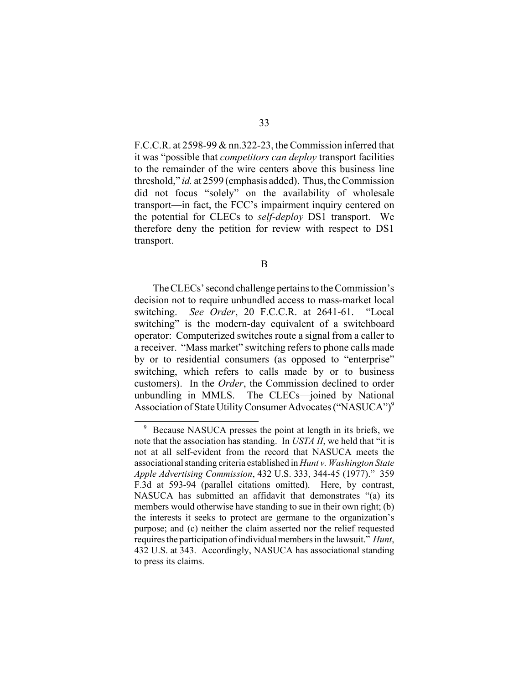F.C.C.R. at 2598-99 & nn.322-23, the Commission inferred that it was "possible that *competitors can deploy* transport facilities to the remainder of the wire centers above this business line threshold," *id.* at 2599 (emphasis added). Thus, the Commission did not focus "solely" on the availability of wholesale transport—in fact, the FCC's impairment inquiry centered on the potential for CLECs to *self-deploy* DS1 transport. We therefore deny the petition for review with respect to DS1 transport.

B

The CLECs' second challenge pertains to the Commission's decision not to require unbundled access to mass-market local switching. *See Order*, 20 F.C.C.R. at 2641-61. "Local switching" is the modern-day equivalent of a switchboard operator: Computerized switches route a signal from a caller to a receiver. "Mass market" switching refers to phone calls made by or to residential consumers (as opposed to "enterprise" switching, which refers to calls made by or to business customers). In the *Order*, the Commission declined to order unbundling in MMLS. The CLECs—joined by National Association of State Utility Consumer Advocates ("NASUCA")<sup>9</sup>

<sup>9</sup> Because NASUCA presses the point at length in its briefs, we note that the association has standing. In *USTA II*, we held that "it is not at all self-evident from the record that NASUCA meets the associational standing criteria established in *Hunt v. Washington State Apple Advertising Commission*, 432 U.S. 333, 344-45 (1977)." 359 F.3d at 593-94 (parallel citations omitted). Here, by contrast, NASUCA has submitted an affidavit that demonstrates "(a) its members would otherwise have standing to sue in their own right; (b) the interests it seeks to protect are germane to the organization's purpose; and (c) neither the claim asserted nor the relief requested requires the participation of individual members in the lawsuit." *Hunt*, 432 U.S. at 343. Accordingly, NASUCA has associational standing to press its claims.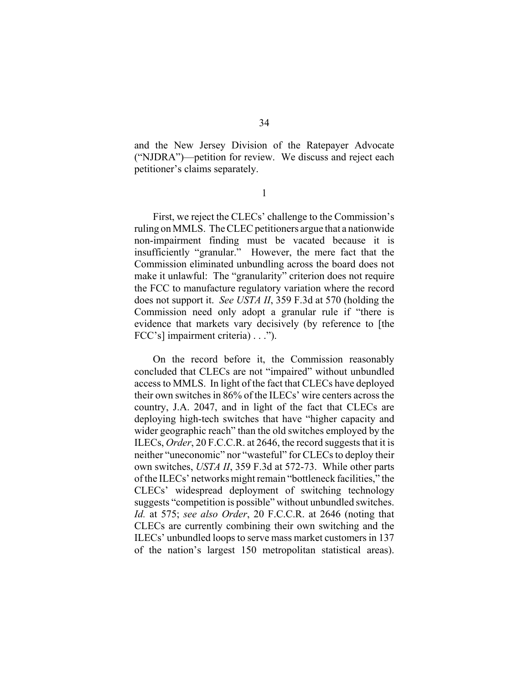and the New Jersey Division of the Ratepayer Advocate ("NJDRA")—petition for review. We discuss and reject each petitioner's claims separately.

1

First, we reject the CLECs' challenge to the Commission's ruling on MMLS. The CLEC petitioners argue that a nationwide non-impairment finding must be vacated because it is insufficiently "granular." However, the mere fact that the Commission eliminated unbundling across the board does not make it unlawful: The "granularity" criterion does not require the FCC to manufacture regulatory variation where the record does not support it. *See USTA II*, 359 F.3d at 570 (holding the Commission need only adopt a granular rule if "there is evidence that markets vary decisively (by reference to [the FCC's] impairment criteria) . . .").

On the record before it, the Commission reasonably concluded that CLECs are not "impaired" without unbundled access to MMLS. In light of the fact that CLECs have deployed their own switches in 86% of the ILECs' wire centers across the country, J.A. 2047, and in light of the fact that CLECs are deploying high-tech switches that have "higher capacity and wider geographic reach" than the old switches employed by the ILECs, *Order*, 20 F.C.C.R. at 2646, the record suggests that it is neither "uneconomic" nor "wasteful" for CLECs to deploy their own switches, *USTA II*, 359 F.3d at 572-73. While other parts of the ILECs' networks might remain "bottleneck facilities," the CLECs' widespread deployment of switching technology suggests "competition is possible" without unbundled switches. *Id.* at 575; *see also Order*, 20 F.C.C.R. at 2646 (noting that CLECs are currently combining their own switching and the ILECs' unbundled loops to serve mass market customers in 137 of the nation's largest 150 metropolitan statistical areas).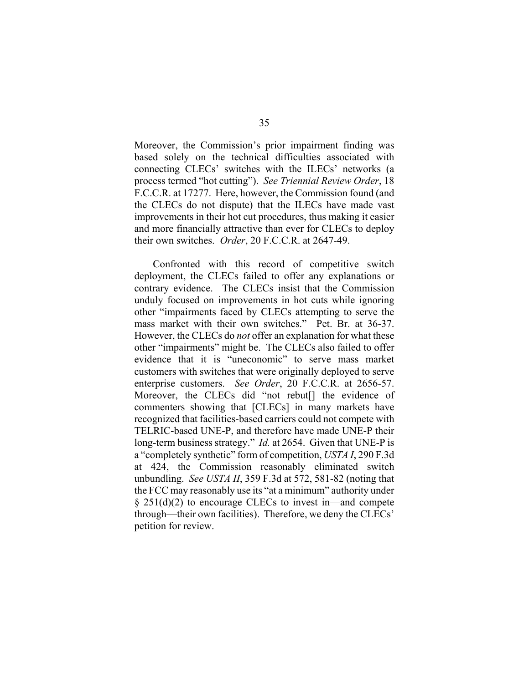Moreover, the Commission's prior impairment finding was based solely on the technical difficulties associated with connecting CLECs' switches with the ILECs' networks (a process termed "hot cutting"). *See Triennial Review Order*, 18 F.C.C.R. at 17277. Here, however, the Commission found (and the CLECs do not dispute) that the ILECs have made vast improvements in their hot cut procedures, thus making it easier and more financially attractive than ever for CLECs to deploy their own switches. *Order*, 20 F.C.C.R. at 2647-49.

Confronted with this record of competitive switch deployment, the CLECs failed to offer any explanations or contrary evidence. The CLECs insist that the Commission unduly focused on improvements in hot cuts while ignoring other "impairments faced by CLECs attempting to serve the mass market with their own switches." Pet. Br. at 36-37. However, the CLECs do *not* offer an explanation for what these other "impairments" might be. The CLECs also failed to offer evidence that it is "uneconomic" to serve mass market customers with switches that were originally deployed to serve enterprise customers. *See Order*, 20 F.C.C.R. at 2656-57. Moreover, the CLECs did "not rebut<sup>[]</sup> the evidence of commenters showing that [CLECs] in many markets have recognized that facilities-based carriers could not compete with TELRIC-based UNE-P, and therefore have made UNE-P their long-term business strategy." *Id.* at 2654. Given that UNE-P is a "completely synthetic" form of competition, *USTA I*, 290 F.3d at 424, the Commission reasonably eliminated switch unbundling. *See USTA II*, 359 F.3d at 572, 581-82 (noting that the FCC may reasonably use its "at a minimum" authority under § 251(d)(2) to encourage CLECs to invest in—and compete through—their own facilities). Therefore, we deny the CLECs' petition for review.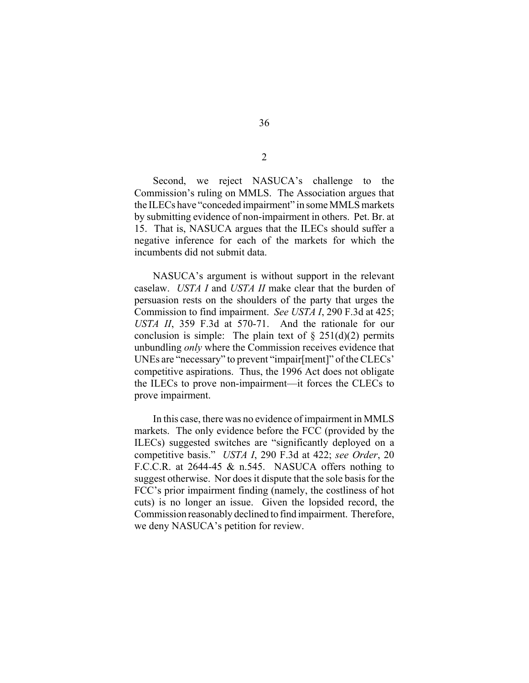Second, we reject NASUCA's challenge to the Commission's ruling on MMLS. The Association argues that the ILECs have "conceded impairment" in some MMLS markets by submitting evidence of non-impairment in others. Pet. Br. at 15. That is, NASUCA argues that the ILECs should suffer a negative inference for each of the markets for which the incumbents did not submit data.

NASUCA's argument is without support in the relevant caselaw. *USTA I* and *USTA II* make clear that the burden of persuasion rests on the shoulders of the party that urges the Commission to find impairment. *See USTA I*, 290 F.3d at 425; *USTA II*, 359 F.3d at 570-71. And the rationale for our conclusion is simple: The plain text of  $\S 251(d)(2)$  permits unbundling *only* where the Commission receives evidence that UNEs are "necessary" to prevent "impair[ment]" of the CLECs' competitive aspirations. Thus, the 1996 Act does not obligate the ILECs to prove non-impairment—it forces the CLECs to prove impairment.

In this case, there was no evidence of impairment in MMLS markets. The only evidence before the FCC (provided by the ILECs) suggested switches are "significantly deployed on a competitive basis." *USTA I*, 290 F.3d at 422; *see Order*, 20 F.C.C.R. at 2644-45 & n.545. NASUCA offers nothing to suggest otherwise. Nor does it dispute that the sole basis for the FCC's prior impairment finding (namely, the costliness of hot cuts) is no longer an issue. Given the lopsided record, the Commission reasonably declined to find impairment. Therefore, we deny NASUCA's petition for review.

2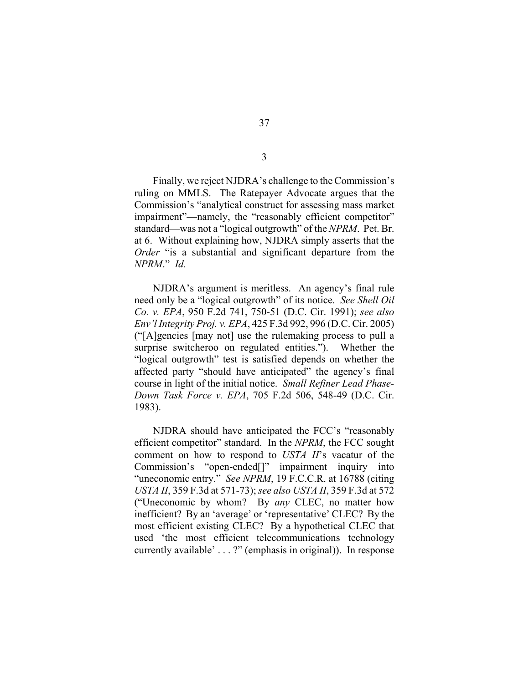Finally, we reject NJDRA's challenge to the Commission's ruling on MMLS. The Ratepayer Advocate argues that the Commission's "analytical construct for assessing mass market impairment"—namely, the "reasonably efficient competitor" standard—was not a "logical outgrowth" of the *NPRM*. Pet. Br. at 6. Without explaining how, NJDRA simply asserts that the *Order* "is a substantial and significant departure from the *NPRM*." *Id.* 

NJDRA's argument is meritless. An agency's final rule need only be a "logical outgrowth" of its notice. *See Shell Oil Co. v. EPA*, 950 F.2d 741, 750-51 (D.C. Cir. 1991); *see also Env'l Integrity Proj. v. EPA*, 425 F.3d 992, 996 (D.C. Cir. 2005) ("[A]gencies [may not] use the rulemaking process to pull a surprise switcheroo on regulated entities."). Whether the "logical outgrowth" test is satisfied depends on whether the affected party "should have anticipated" the agency's final course in light of the initial notice. *Small Refiner Lead Phase-Down Task Force v. EPA*, 705 F.2d 506, 548-49 (D.C. Cir. 1983).

NJDRA should have anticipated the FCC's "reasonably efficient competitor" standard. In the *NPRM*, the FCC sought comment on how to respond to *USTA II*'s vacatur of the Commission's "open-ended[]" impairment inquiry into "uneconomic entry." *See NPRM*, 19 F.C.C.R. at 16788 (citing *USTA II*, 359 F.3d at 571-73); *see also USTA II*, 359 F.3d at 572 ("Uneconomic by whom? By *any* CLEC, no matter how inefficient? By an 'average' or 'representative' CLEC? By the most efficient existing CLEC? By a hypothetical CLEC that used 'the most efficient telecommunications technology currently available' . . . ?" (emphasis in original)). In response

3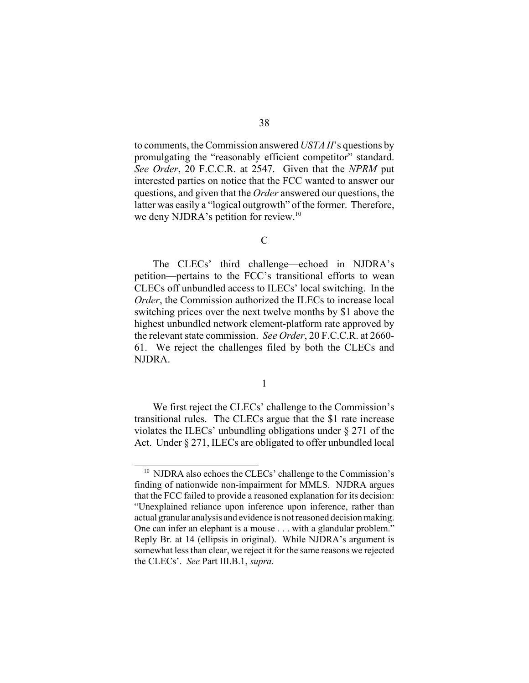to comments, the Commission answered *USTA II*'s questions by promulgating the "reasonably efficient competitor" standard. *See Order*, 20 F.C.C.R. at 2547. Given that the *NPRM* put interested parties on notice that the FCC wanted to answer our questions, and given that the *Order* answered our questions, the latter was easily a "logical outgrowth" of the former. Therefore, we deny NJDRA's petition for review.<sup>10</sup>

 $\overline{C}$ 

The CLECs' third challenge—echoed in NJDRA's petition—pertains to the FCC's transitional efforts to wean CLECs off unbundled access to ILECs' local switching. In the *Order*, the Commission authorized the ILECs to increase local switching prices over the next twelve months by \$1 above the highest unbundled network element-platform rate approved by the relevant state commission. *See Order*, 20 F.C.C.R. at 2660- 61. We reject the challenges filed by both the CLECs and NJDRA.

1

We first reject the CLECs' challenge to the Commission's transitional rules. The CLECs argue that the \$1 rate increase violates the ILECs' unbundling obligations under § 271 of the Act. Under § 271, ILECs are obligated to offer unbundled local

<sup>&</sup>lt;sup>10</sup> NJDRA also echoes the CLECs' challenge to the Commission's finding of nationwide non-impairment for MMLS. NJDRA argues that the FCC failed to provide a reasoned explanation for its decision: "Unexplained reliance upon inference upon inference, rather than actual granular analysis and evidence is not reasoned decision making. One can infer an elephant is a mouse . . . with a glandular problem." Reply Br. at 14 (ellipsis in original). While NJDRA's argument is somewhat less than clear, we reject it for the same reasons we rejected the CLECs'. *See* Part III.B.1, *supra*.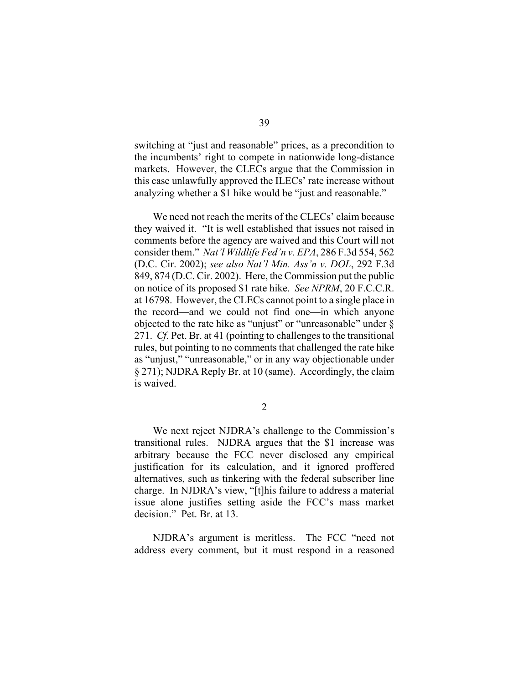switching at "just and reasonable" prices, as a precondition to the incumbents' right to compete in nationwide long-distance markets. However, the CLECs argue that the Commission in this case unlawfully approved the ILECs' rate increase without analyzing whether a \$1 hike would be "just and reasonable."

We need not reach the merits of the CLECs' claim because they waived it. "It is well established that issues not raised in comments before the agency are waived and this Court will not consider them." *Nat'l Wildlife Fed'n v. EPA*, 286 F.3d 554, 562 (D.C. Cir. 2002); *see also Nat'l Min. Ass'n v. DOL*, 292 F.3d 849, 874 (D.C. Cir. 2002). Here, the Commission put the public on notice of its proposed \$1 rate hike. *See NPRM*, 20 F.C.C.R. at 16798. However, the CLECs cannot point to a single place in the record—and we could not find one—in which anyone objected to the rate hike as "unjust" or "unreasonable" under § 271. *Cf.* Pet. Br. at 41 (pointing to challenges to the transitional rules, but pointing to no comments that challenged the rate hike as "unjust," "unreasonable," or in any way objectionable under § 271); NJDRA Reply Br. at 10 (same). Accordingly, the claim is waived.

2

We next reject NJDRA's challenge to the Commission's transitional rules. NJDRA argues that the \$1 increase was arbitrary because the FCC never disclosed any empirical justification for its calculation, and it ignored proffered alternatives, such as tinkering with the federal subscriber line charge. In NJDRA's view, "[t]his failure to address a material issue alone justifies setting aside the FCC's mass market decision." Pet. Br. at 13.

NJDRA's argument is meritless. The FCC "need not address every comment, but it must respond in a reasoned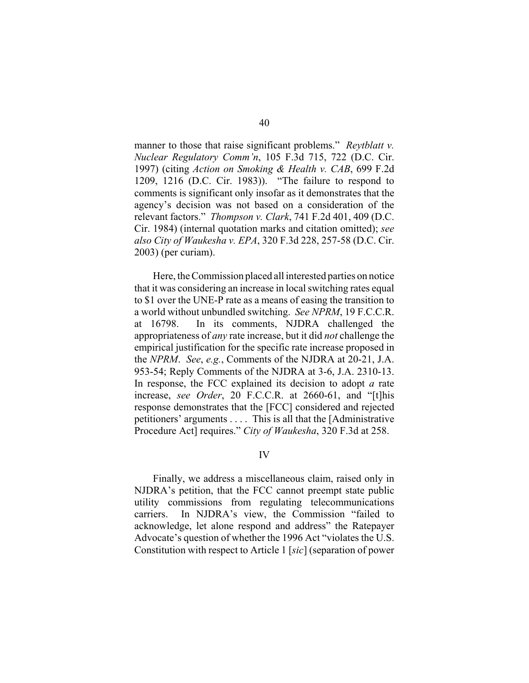manner to those that raise significant problems." *Reytblatt v. Nuclear Regulatory Comm'n*, 105 F.3d 715, 722 (D.C. Cir. 1997) (citing *Action on Smoking & Health v. CAB*, 699 F.2d 1209, 1216 (D.C. Cir. 1983)). "The failure to respond to comments is significant only insofar as it demonstrates that the agency's decision was not based on a consideration of the relevant factors." *Thompson v. Clark*, 741 F.2d 401, 409 (D.C. Cir. 1984) (internal quotation marks and citation omitted); *see also City of Waukesha v. EPA*, 320 F.3d 228, 257-58 (D.C. Cir. 2003) (per curiam).

Here, the Commission placed all interested parties on notice that it was considering an increase in local switching rates equal to \$1 over the UNE-P rate as a means of easing the transition to a world without unbundled switching. *See NPRM*, 19 F.C.C.R. at 16798. In its comments, NJDRA challenged the appropriateness of *any* rate increase, but it did *not* challenge the empirical justification for the specific rate increase proposed in the *NPRM*. *See*, *e.g.*, Comments of the NJDRA at 20-21, J.A. 953-54; Reply Comments of the NJDRA at 3-6, J.A. 2310-13. In response, the FCC explained its decision to adopt *a* rate increase, *see Order*, 20 F.C.C.R. at 2660-61, and "[t]his response demonstrates that the [FCC] considered and rejected petitioners' arguments . . . . This is all that the [Administrative Procedure Act] requires." *City of Waukesha*, 320 F.3d at 258.

#### IV

Finally, we address a miscellaneous claim, raised only in NJDRA's petition, that the FCC cannot preempt state public utility commissions from regulating telecommunications carriers. In NJDRA's view, the Commission "failed to acknowledge, let alone respond and address" the Ratepayer Advocate's question of whether the 1996 Act "violates the U.S. Constitution with respect to Article 1 [*sic*] (separation of power